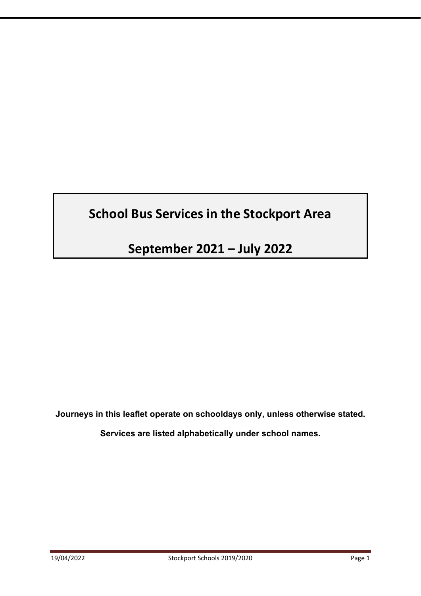# **School Bus Services in the Stockport Area**

**September 2021 – July 2022** 

**Journeys in this leaflet operate on schooldays only, unless otherwise stated.** 

**Services are listed alphabetically under school names.**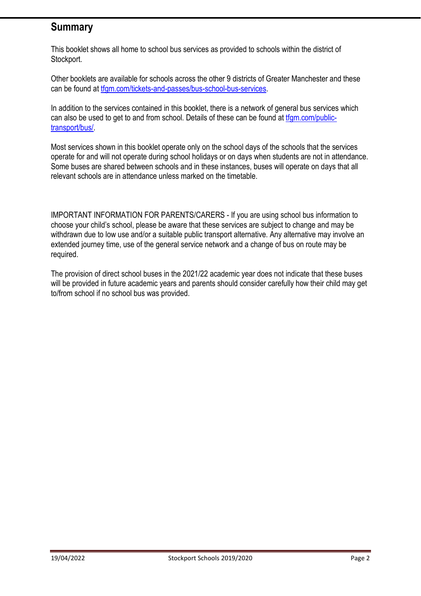# **Summary**

This booklet shows all home to school bus services as provided to schools within the district of Stockport.

Other booklets are available for schools across the other 9 districts of Greater Manchester and these can be found at tfgm.com/tickets-and-passes/bus-school-bus-services.

In addition to the services contained in this booklet, there is a network of general bus services which can also be used to get to and from school. Details of these can be found at tfgm.com/publictransport/bus/.

Most services shown in this booklet operate only on the school days of the schools that the services operate for and will not operate during school holidays or on days when students are not in attendance. Some buses are shared between schools and in these instances, buses will operate on days that all relevant schools are in attendance unless marked on the timetable.

IMPORTANT INFORMATION FOR PARENTS/CARERS - If you are using school bus information to choose your child's school, please be aware that these services are subject to change and may be withdrawn due to low use and/or a suitable public transport alternative. Any alternative may involve an extended journey time, use of the general service network and a change of bus on route may be required.

The provision of direct school buses in the 2021/22 academic year does not indicate that these buses will be provided in future academic years and parents should consider carefully how their child may get to/from school if no school bus was provided.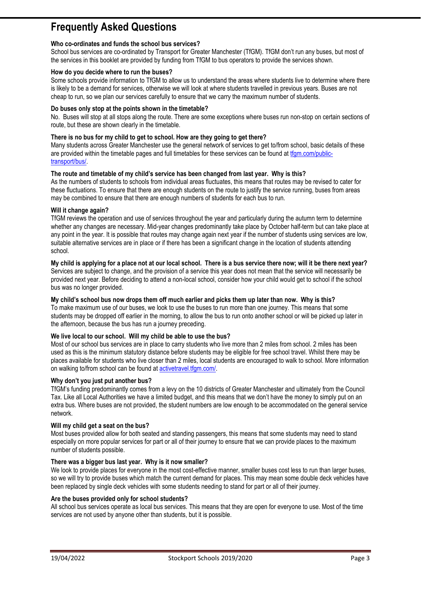# **Frequently Asked Questions**

#### **Who co-ordinates and funds the school bus services?**

School bus services are co-ordinated by Transport for Greater Manchester (TfGM). TfGM don't run any buses, but most of the services in this booklet are provided by funding from TfGM to bus operators to provide the services shown.

#### **How do you decide where to run the buses?**

Some schools provide information to TfGM to allow us to understand the areas where students live to determine where there is likely to be a demand for services, otherwise we will look at where students travelled in previous years. Buses are not cheap to run, so we plan our services carefully to ensure that we carry the maximum number of students.

#### **Do buses only stop at the points shown in the timetable?**

No. Buses will stop at all stops along the route. There are some exceptions where buses run non-stop on certain sections of route, but these are shown clearly in the timetable.

#### **There is no bus for my child to get to school. How are they going to get there?**

Many students across Greater Manchester use the general network of services to get to/from school, basic details of these are provided within the timetable pages and full timetables for these services can be found at tfgm.com/publictransport/bus/.

#### **The route and timetable of my child's service has been changed from last year. Why is this?**

As the numbers of students to schools from individual areas fluctuates, this means that routes may be revised to cater for these fluctuations. To ensure that there are enough students on the route to justify the service running, buses from areas may be combined to ensure that there are enough numbers of students for each bus to run.

#### **Will it change again?**

TfGM reviews the operation and use of services throughout the year and particularly during the autumn term to determine whether any changes are necessary. Mid-year changes predominantly take place by October half-term but can take place at any point in the year. It is possible that routes may change again next year if the number of students using services are low, suitable alternative services are in place or if there has been a significant change in the location of students attending school.

**My child is applying for a place not at our local school. There is a bus service there now; will it be there next year?**  Services are subject to change, and the provision of a service this year does not mean that the service will necessarily be provided next year. Before deciding to attend a non-local school, consider how your child would get to school if the school bus was no longer provided.

#### **My child's school bus now drops them off much earlier and picks them up later than now. Why is this?**

To make maximum use of our buses, we look to use the buses to run more than one journey. This means that some students may be dropped off earlier in the morning, to allow the bus to run onto another school or will be picked up later in the afternoon, because the bus has run a journey preceding.

#### **We live local to our school. Will my child be able to use the bus?**

Most of our school bus services are in place to carry students who live more than 2 miles from school. 2 miles has been used as this is the minimum statutory distance before students may be eligible for free school travel. Whilst there may be places available for students who live closer than 2 miles, local students are encouraged to walk to school. More information on walking to/from school can be found at activetravel.tfgm.com/.

#### **Why don't you just put another bus?**

TfGM's funding predominantly comes from a levy on the 10 districts of Greater Manchester and ultimately from the Council Tax. Like all Local Authorities we have a limited budget, and this means that we don't have the money to simply put on an extra bus. Where buses are not provided, the student numbers are low enough to be accommodated on the general service network.

#### **Will my child get a seat on the bus?**

Most buses provided allow for both seated and standing passengers, this means that some students may need to stand especially on more popular services for part or all of their journey to ensure that we can provide places to the maximum number of students possible.

#### **There was a bigger bus last year. Why is it now smaller?**

We look to provide places for everyone in the most cost-effective manner, smaller buses cost less to run than larger buses, so we will try to provide buses which match the current demand for places. This may mean some double deck vehicles have been replaced by single deck vehicles with some students needing to stand for part or all of their journey.

#### **Are the buses provided only for school students?**

All school bus services operate as local bus services. This means that they are open for everyone to use. Most of the time services are not used by anyone other than students, but it is possible.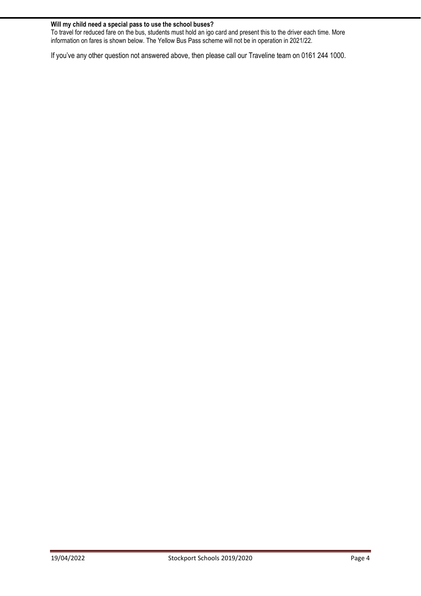#### **Will my child need a special pass to use the school buses?**

To travel for reduced fare on the bus, students must hold an igo card and present this to the driver each time. More information on fares is shown below. The Yellow Bus Pass scheme will not be in operation in 2021/22.

If you've any other question not answered above, then please call our Traveline team on 0161 244 1000.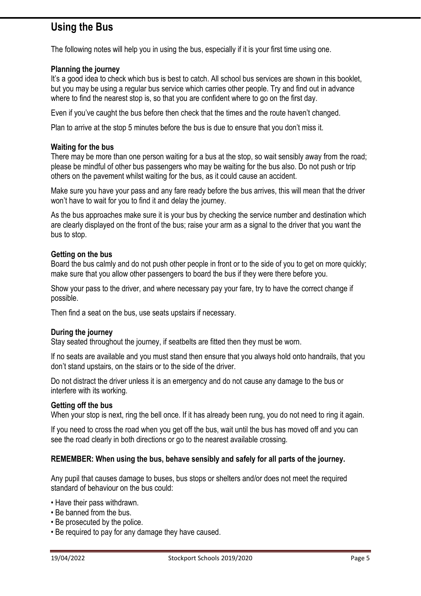# **Using the Bus**

The following notes will help you in using the bus, especially if it is your first time using one.

## **Planning the journey**

It's a good idea to check which bus is best to catch. All school bus services are shown in this booklet, but you may be using a regular bus service which carries other people. Try and find out in advance where to find the nearest stop is, so that you are confident where to go on the first day.

Even if you've caught the bus before then check that the times and the route haven't changed.

Plan to arrive at the stop 5 minutes before the bus is due to ensure that you don't miss it.

### **Waiting for the bus**

There may be more than one person waiting for a bus at the stop, so wait sensibly away from the road; please be mindful of other bus passengers who may be waiting for the bus also. Do not push or trip others on the pavement whilst waiting for the bus, as it could cause an accident.

Make sure you have your pass and any fare ready before the bus arrives, this will mean that the driver won't have to wait for you to find it and delay the journey.

As the bus approaches make sure it is your bus by checking the service number and destination which are clearly displayed on the front of the bus; raise your arm as a signal to the driver that you want the bus to stop.

## **Getting on the bus**

Board the bus calmly and do not push other people in front or to the side of you to get on more quickly; make sure that you allow other passengers to board the bus if they were there before you.

Show your pass to the driver, and where necessary pay your fare, try to have the correct change if possible.

Then find a seat on the bus, use seats upstairs if necessary.

### **During the journey**

Stay seated throughout the journey, if seatbelts are fitted then they must be worn.

If no seats are available and you must stand then ensure that you always hold onto handrails, that you don't stand upstairs, on the stairs or to the side of the driver.

Do not distract the driver unless it is an emergency and do not cause any damage to the bus or interfere with its working.

### **Getting off the bus**

When your stop is next, ring the bell once. If it has already been rung, you do not need to ring it again.

If you need to cross the road when you get off the bus, wait until the bus has moved off and you can see the road clearly in both directions or go to the nearest available crossing.

### **REMEMBER: When using the bus, behave sensibly and safely for all parts of the journey.**

Any pupil that causes damage to buses, bus stops or shelters and/or does not meet the required standard of behaviour on the bus could:

- Have their pass withdrawn.
- Be banned from the bus.
- Be prosecuted by the police.
- Be required to pay for any damage they have caused.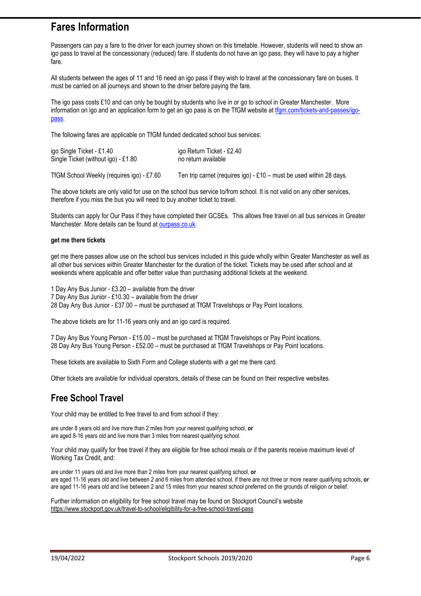# **Fares Information**

Passengers can pay a fare to the driver for each journey shown on this timetable. However, students will need to show an igo pass to travel at the concessionary (reduced) fare. If students do not have an igo pass, they will have to pay a higher fare.

All students between the ages of 11 and 16 need an igo pass if they wish to travel at the concessionary fare on buses. It must be carried on all journeys and shown to the driver before paying the fare.

The igo pass costs £10 and can only be bought by students who live in or go to school in Greater Manchester. More information on igo and an application form to get an igo pass is on the TfGM website at tfgm.com/tickets-and-passes/igopass.

The following fares are applicable on TfGM funded dedicated school bus services:

| igo Single Ticket - £1.40           | igo Return Ticket - £2.40 |
|-------------------------------------|---------------------------|
| Single Ticket (without igo) - £1.80 | no return available       |
|                                     |                           |

TfGM School Weekly (requires igo) - £7.60 Ten trip carnet (requires igo) - £10 – must be used within 28 days.

The above tickets are only valid for use on the school bus service to/from school. It is not valid on any other services, therefore if you miss the bus you will need to buy another ticket to travel.

Students can apply for Our Pass if they have completed their GCSEs. This allows free travel on all bus services in Greater Manchester. More details can be found at ourpass.co.uk.

#### **get me there tickets**

get me there passes allow use on the school bus services included in this guide wholly within Greater Manchester as well as all other bus services within Greater Manchester for the duration of the ticket. Tickets may be used after school and at weekends where applicable and offer better value than purchasing additional tickets at the weekend.

1 Day Any Bus Junior - £3.20 – available from the driver 7 Day Any Bus Junior - £10.30 – available from the driver 28 Day Any Bus Junior - £37.00 – must be purchased at TfGM Travelshops or Pay Point locations.

The above tickets are for 11-16 years only and an igo card is required.

7 Day Any Bus Young Person - £15.00 – must be purchased at TfGM Travelshops or Pay Point locations. 28 Day Any Bus Young Person - £52.00 – must be purchased at TfGM Travelshops or Pay Point locations.

These tickets are available to Sixth Form and College students with a get me there card.

Other tickets are available for individual operators, details of these can be found on their respective websites.

## **Free School Travel**

Your child may be entitled to free travel to and from school if they:

are under 8 years old and live more than 2 miles from your nearest qualifying school, **or**  are aged 8-16 years old and live more than 3 miles from nearest qualifying school.

Your child may qualify for free travel if they are eligible for free school meals or if the parents receive maximum level of Working Tax Credit, and:

are under 11 years old and live more than 2 miles from your nearest qualifying school, **or** are aged 11-16 years old and live between 2 and 6 miles from attended school, if there are not three or more nearer qualifying schools, **or** are aged 11-16 years old and live between 2 and 15 miles from your nearest school preferred on the grounds of religion or belief.

Further information on eligibility for free school travel may be found on Stockport Council's website https://www.stockport.gov.uk/travel-to-school/eligibility-for-a-free-school-travel-pass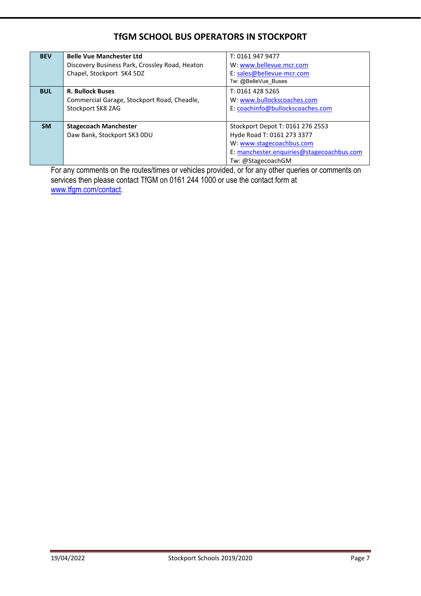## **TfGM SCHOOL BUS OPERATORS IN STOCKPORT**

| <b>BEV</b> | <b>Belle Vue Manchester Ltd</b><br>Discovery Business Park, Crossley Road, Heaton<br>Chapel, Stockport SK4 5DZ | T: 0161 947 9477<br>W: www.bellevue.mcr.com<br>E: sales@bellevue-mcr.com<br>Tw: @BelleVue Buses                                                              |
|------------|----------------------------------------------------------------------------------------------------------------|--------------------------------------------------------------------------------------------------------------------------------------------------------------|
| <b>BUL</b> | <b>R. Bullock Buses</b><br>Commercial Garage, Stockport Road, Cheadle,<br>Stockport SK8 2AG                    | T: 0161 428 5265<br>W: www.bullockscoaches.com<br>E: coachinfo@bullockscoaches.com                                                                           |
| <b>SM</b>  | <b>Stagecoach Manchester</b><br>Daw Bank, Stockport SK3 ODU                                                    | Stockport Depot T: 0161 276 2553<br>Hyde Road T: 0161 273 3377<br>W: www.stagecoachbus.com<br>E: manchester.enguiries@stagecoachbus.com<br>Tw: @StagecoachGM |

For any comments on the routes/times or vehicles provided, or for any other queries or comments on services then please contact TfGM on 0161 244 1000 or use the contact form at www.tfgm.com/contact.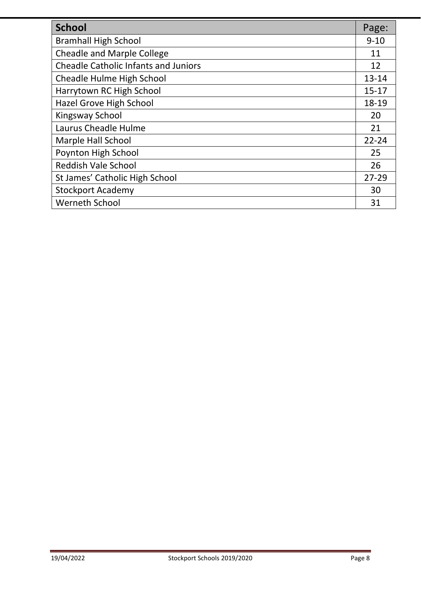| <b>School</b>                               | Page:     |
|---------------------------------------------|-----------|
| <b>Bramhall High School</b>                 | $9 - 10$  |
| <b>Cheadle and Marple College</b>           | 11        |
| <b>Cheadle Catholic Infants and Juniors</b> | 12        |
| Cheadle Hulme High School                   | $13 - 14$ |
| Harrytown RC High School                    | $15 - 17$ |
| <b>Hazel Grove High School</b>              | 18-19     |
| Kingsway School                             | 20        |
| Laurus Cheadle Hulme                        | 21        |
| Marple Hall School                          | $22 - 24$ |
| Poynton High School                         | 25        |
| <b>Reddish Vale School</b>                  | 26        |
| St James' Catholic High School              | $27 - 29$ |
| <b>Stockport Academy</b>                    | 30        |
| <b>Werneth School</b>                       | 31        |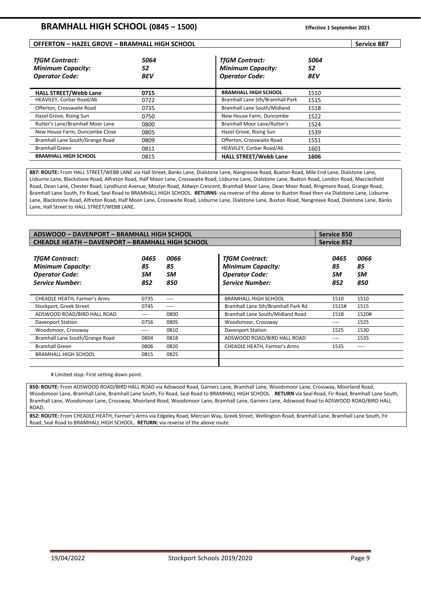#### **OFFERTON – HAZEL GROVE – BRAMHALL HIGH SCHOOL Service 887**

| <b>TfGM Contract:</b><br><b>Minimum Capacity:</b><br><b>Operator Code:</b> | 5064<br>52<br><b>BEV</b> | <b>TfGM Contract:</b><br><b>Minimum Capacity:</b><br><b>Operator Code:</b> | 5064<br>52<br><b>BEV</b> |
|----------------------------------------------------------------------------|--------------------------|----------------------------------------------------------------------------|--------------------------|
| <b>HALL STREET/Webb Lane</b>                                               | 0715                     | <b>BRAMHALL HIGH SCHOOL</b>                                                | 1510                     |
| HEAVILEY, Corbar Road/A6                                                   | 0722                     | Bramhall Lane Sth/Bramhall Park                                            | 1515                     |
| Offerton, Crosswaite Road                                                  | 0735                     | Bramhall Lane South/Midland                                                | 1518                     |
| Hazel Grove, Rising Sun                                                    | 0750                     | New House Farm, Duncombe                                                   | 1522                     |
| Rutter's Lane/Bramhall Moor Lane                                           | 0800                     | <b>Bramhall Moor Lane/Rutter's</b>                                         | 1524                     |
| New House Farm, Duncombe Close                                             | 0805                     | Hazel Grove, Rising Sun                                                    | 1539                     |
| Bramhall Lane South/Grange Road                                            | 0809                     | Offerton, Crosswaite Road                                                  | 1551                     |
| <b>Bramhall Green</b>                                                      | 0811                     | HEAVILEY, Corbar Road/A6                                                   | 1601                     |
| <b>BRAMHALL HIGH SCHOOL</b>                                                | 0815                     | <b>HALL STREET/Webb Lane</b>                                               | 1606                     |

**887: ROUTE:** From HALL STREET/WEBB LANE via Hall Street, Banks Lane, Dialstone Lane, Nangreave Road, Buxton Road, Mile End Lane, Dialstone Lane, Lisburne Lane, Blackstone Road, Alfreton Road, Half Moon Lane, Crosswaite Road, Lisburne Lane, Dialstone Lane, Buxton Road, London Road, Macclesfield Road, Dean Lane, Chester Road, Lyndhurst Avenue, Mostyn Road, Aldwyn Crescent, Bramhall Moor Lane, Dean Moor Road, Ringmore Road, Grange Road, Bramhall Lane South, Fir Road, Seal Road to BRAMHALL HIGH SCHOOL. **RETURNS**: via reverse of the above to Buxton Road then via Dialstone Lane, Lisburne Lane, Blackstone Road, Alfreton Road, Half Moon Lane, Crosswaite Road, Lisburne Lane, Dialstone Lane, Buxton Road, Nangreave Road, Dialstone Lane, Banks Lane, Hall Street to HALL STREET/WEBB LANE.

| <b>ADSWOOD - DAVENPORT - BRAMHALL HIGH SCHOOL</b>                                                    | Service 850             |                                |                                                                                                      |                         |                         |
|------------------------------------------------------------------------------------------------------|-------------------------|--------------------------------|------------------------------------------------------------------------------------------------------|-------------------------|-------------------------|
| <b>CHEADLE HEATH - DAVENPORT - BRAMHALL HIGH SCHOOL</b>                                              |                         |                                |                                                                                                      | <b>Service 852</b>      |                         |
| <b>TfGM Contract:</b><br><b>Minimum Capacity:</b><br><b>Operator Code:</b><br><b>Service Number:</b> | 0465<br>85<br>SM<br>852 | 0066<br>85<br><b>SM</b><br>850 | <b>TfGM Contract:</b><br><b>Minimum Capacity:</b><br><b>Operator Code:</b><br><b>Service Number:</b> | 0465<br>85<br>SM<br>852 | 0066<br>85<br>SM<br>850 |
| <b>CHEADLE HEATH, Farmer's Arms</b>                                                                  | 0735                    | ----                           | <b>BRAMHALL HIGH SCHOOL</b>                                                                          | 1510                    | 1510                    |
| Stockport, Greek Street                                                                              | 0745                    | ----                           | Bramhall Lane Sth/Bramhall Park Rd                                                                   | 1515#                   | 1515                    |
| ADSWOOD ROAD/BIRD HALL ROAD                                                                          | ----                    | 0800                           | Bramhall Lane South/Midland Road                                                                     | 1518                    | 1520#                   |
| Davenport Station                                                                                    | 0756                    | 0805                           | Woodsmoor, Crossway                                                                                  | ----                    | 1525                    |
| Woodsmoor, Crossway                                                                                  | ----                    | 0810                           | Davenport Station                                                                                    | 1525                    | 1530                    |
| Bramhall Lane South/Grange Road                                                                      | 0804                    | 0818                           | ADSWOOD ROAD/BIRD HALL ROAD                                                                          | $---$                   | 1535                    |
| <b>Bramhall Green</b>                                                                                | 0806                    | 0820                           | <b>CHEADLE HEATH, Farmer's Arms</b>                                                                  | 1535                    | $- - - -$               |
| <b>BRAMHALL HIGH SCHOOL</b>                                                                          | 0815                    | 0825                           |                                                                                                      |                         |                         |

# Limited stop: First setting down point.

**850: ROUTE:** From ADSWOOD ROAD/BIRD HALL ROAD via Adswood Road, Garners Lane, Bramhall Lane, Woodsmoor Lane, Crossway, Moorland Road, Woodsmoor Lane, Bramhall Lane, Bramhall Lane South, Fir Road, Seal Road to BRAMHALL HIGH SCHOOL. **RETURN** via Seal Road, Fir Road, Bramhall Lane South, Bramhall Lane, Woodsmoor Lane, Crossway, Moorland Road, Woodsmoor Lane, Bramhall Lane, Garners Lane, Adswood Road to ADSWOOD ROAD/BIRD HALL **ROAD** 

**852: ROUTE:** From CHEADLE HEATH, Farmer's Arms via Edgeley Road, Mercian Way, Greek Street, Wellington Road, Bramhall Lane, Bramhall Lane South, Fir Road, Seal Road to BRAMHALL HIGH SCHOOL. **RETURN:** via reverse of the above route.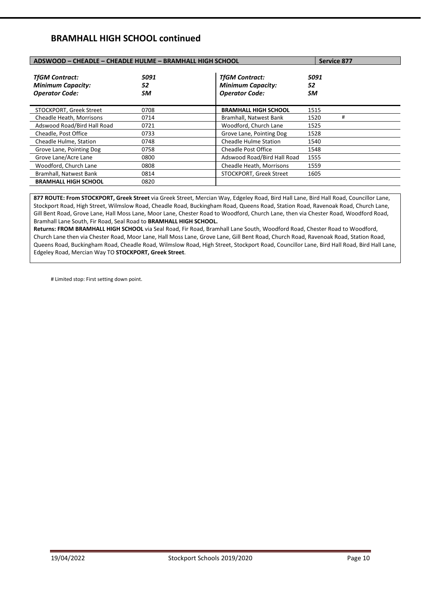## **BRAMHALL HIGH SCHOOL continued**

| ADSWOOD - CHEADLE - CHEADLE HULME - BRAMHALL HIGH SCHOOL                   |                         | <b>Service 877</b>                                                         |                  |   |
|----------------------------------------------------------------------------|-------------------------|----------------------------------------------------------------------------|------------------|---|
| <b>TfGM Contract:</b><br><b>Minimum Capacity:</b><br><b>Operator Code:</b> | 5091<br>52<br><b>SM</b> | <b>TfGM Contract:</b><br><b>Minimum Capacity:</b><br><b>Operator Code:</b> | 5091<br>52<br>SM |   |
| STOCKPORT, Greek Street                                                    | 0708                    | <b>BRAMHALL HIGH SCHOOL</b>                                                | 1515             |   |
| Cheadle Heath, Morrisons                                                   | 0714                    | Bramhall, Natwest Bank                                                     | 1520             | # |
| Adswood Road/Bird Hall Road                                                | 0721                    | Woodford, Church Lane                                                      | 1525             |   |
| Cheadle, Post Office                                                       | 0733                    | Grove Lane, Pointing Dog                                                   | 1528             |   |
| Cheadle Hulme, Station                                                     | 0748                    | <b>Cheadle Hulme Station</b>                                               | 1540             |   |
| Grove Lane, Pointing Dog                                                   | 0758                    | <b>Cheadle Post Office</b>                                                 | 1548             |   |
| Grove Lane/Acre Lane                                                       | 0800                    | Adswood Road/Bird Hall Road                                                | 1555             |   |
| Woodford, Church Lane                                                      | 0808                    | Cheadle Heath, Morrisons                                                   | 1559             |   |
| Bramhall, Natwest Bank                                                     | 0814                    | STOCKPORT, Greek Street                                                    | 1605             |   |
| <b>BRAMHALL HIGH SCHOOL</b>                                                | 0820                    |                                                                            |                  |   |

**877 ROUTE: From STOCKPORT, Greek Street** via Greek Street, Mercian Way, Edgeley Road, Bird Hall Lane, Bird Hall Road, Councillor Lane, Stockport Road, High Street, Wilmslow Road, Cheadle Road, Buckingham Road, Queens Road, Station Road, Ravenoak Road, Church Lane, Gill Bent Road, Grove Lane, Hall Moss Lane, Moor Lane, Chester Road to Woodford, Church Lane, then via Chester Road, Woodford Road, Bramhall Lane South, Fir Road, Seal Road to **BRAMHALL HIGH SCHOOL.** 

**Returns: FROM BRAMHALL HIGH SCHOOL** via Seal Road, Fir Road, Bramhall Lane South, Woodford Road, Chester Road to Woodford, Church Lane then via Chester Road, Moor Lane, Hall Moss Lane, Grove Lane, Gill Bent Road, Church Road, Ravenoak Road, Station Road, Queens Road, Buckingham Road, Cheadle Road, Wilmslow Road, High Street, Stockport Road, Councillor Lane, Bird Hall Road, Bird Hall Lane, Edgeley Road, Mercian Way TO **STOCKPORT, Greek Street**.

# Limited stop: First setting down point.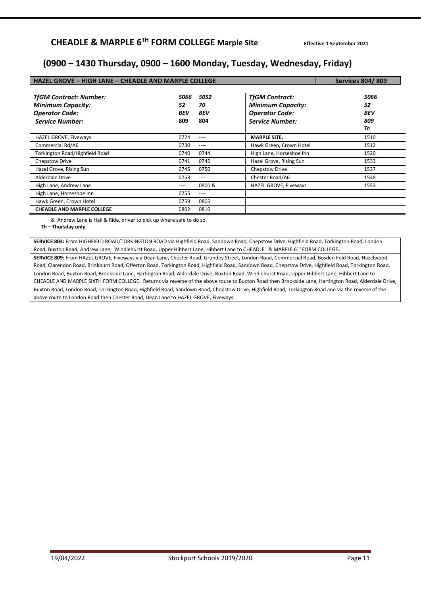## **(0900 – 1430 Thursday, 0900 – 1600 Monday, Tuesday, Wednesday, Friday)**

| HAZEL GROVE - HIGH LANE - CHEADLE AND MARPLE COLLEGE                                                         | <b>Services 804/809</b>  |                                 |                                                                                                      |                                       |
|--------------------------------------------------------------------------------------------------------------|--------------------------|---------------------------------|------------------------------------------------------------------------------------------------------|---------------------------------------|
| <b>TfGM Contract: Number:</b><br><b>Minimum Capacity:</b><br><b>Operator Code:</b><br><b>Service Number:</b> | 5066<br>52<br>BEV<br>809 | 5052<br>70<br><b>BEV</b><br>804 | <b>TfGM Contract:</b><br><b>Minimum Capacity:</b><br><b>Operator Code:</b><br><b>Service Number:</b> | 5066<br>52<br><b>BEV</b><br>809<br>Th |
| <b>HAZEL GROVE, Fiveways</b>                                                                                 | 0724                     | ----                            | <b>MARPLE SITE.</b>                                                                                  | 1510                                  |
| Commercial Rd/A6                                                                                             | 0730                     | ----                            | Hawk Green, Crown Hotel                                                                              | 1512                                  |
| Torkington Road/Highfield Road                                                                               | 0740                     | 0744                            | High Lane, Horseshoe Inn                                                                             | 1520                                  |
| Chepstow Drive                                                                                               | 0741                     | 0745                            | Hazel Grove, Rising Sun                                                                              | 1533                                  |
| Hazel Grove, Rising Sun                                                                                      | 0745                     | 0750                            | Chepstow Drive                                                                                       | 1537                                  |
| Alderdale Drive                                                                                              | 0753                     | ----                            | Chester Road/A6                                                                                      | 1548                                  |
| High Lane, Andrew Lane                                                                                       | $--- -$                  | 0800 &                          | HAZEL GROVE, Fiveways                                                                                | 1553                                  |
| High Lane, Horseshoe Inn                                                                                     | 0755                     | ----                            |                                                                                                      |                                       |
| Hawk Green, Crown Hotel                                                                                      | 0759                     | 0805                            |                                                                                                      |                                       |
| <b>CHEADLE AND MARPLE COLLEGE</b>                                                                            | 0802                     | 0810                            |                                                                                                      |                                       |

& Andrew Lane is Hail & Ride, driver to pick up where safe to do so.

**Th – Thursday only** 

**SERVICE 804:** From HIGHFIELD ROAD/TORKINGTON ROAD via Highfield Road, Sandown Road, Chepstow Drive, Highfield Road, Torkington Road, London Road, Buxton Road, Andrew Lane, Windlehurst Road, Upper Hibbert Lane, Hibbert Lane to CHEADLE & MARPLE 6TH FORM COLLEGE**.** 

**SERVICE 809:** From HAZEL GROVE, Fiveways via Dean Lane, Chester Road, Grundey Street, London Road, Commercial Road, Bosden Fold Road, Hazelwood Road, Clarendon Road, Brinkburn Road, Offerton Road, Torkington Road, Highfield Road, Sandown Road, Chepstow Drive, Highfield Road, Torkington Road, London Road, Buxton Road, Brookside Lane, Hartington Road, Alderdale Drive, Buxton Road, Windlehurst Road, Upper Hibbert Lane, Hibbert Lane to CHEADLE AND MARPLE SIXTH FORM COLLEGE. Returns via reverse of the above route to Buxton Road then Brookside Lane, Hartington Road, Alderdale Drive, Buxton Road, London Road, Torkington Road, Highfield Road, Sandown Road, Chepstow Drive, Highfield Road, Torkington Road and via the reverse of the above route to London Road then Chester Road, Dean Lane to HAZEL GROVE, Fiveways.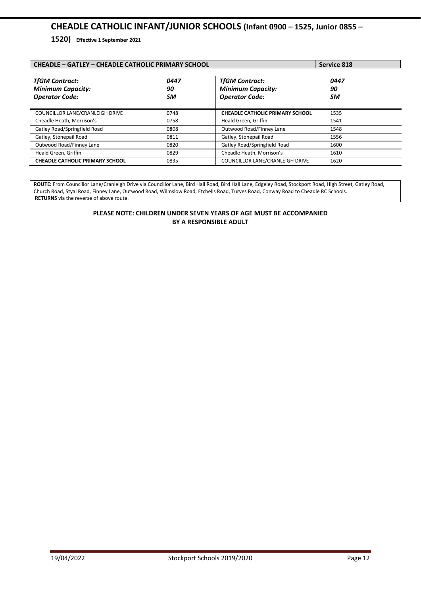## **CHEADLE CATHOLIC INFANT/JUNIOR SCHOOLS (Infant 0900 – 1525, Junior 0855 –**

**1520) Effective 1 September 2021** 

| <b>CHEADLE - GATLEY - CHEADLE CATHOLIC PRIMARY SCHOOL</b>                  | Service 818      |                                                                            |                  |
|----------------------------------------------------------------------------|------------------|----------------------------------------------------------------------------|------------------|
| <b>TfGM Contract:</b><br><b>Minimum Capacity:</b><br><b>Operator Code:</b> | 0447<br>90<br>SM | <b>TfGM Contract:</b><br><b>Minimum Capacity:</b><br><b>Operator Code:</b> | 0447<br>90<br>SM |
| COUNCILLOR LANE/CRANLEIGH DRIVE                                            | 0748             | <b>CHEADLE CATHOLIC PRIMARY SCHOOL</b>                                     | 1535             |
| Cheadle Heath, Morrison's                                                  | 0758             | Heald Green, Griffin                                                       | 1541             |
| Gatley Road/Springfield Road                                               | 0808             | Outwood Road/Finney Lane                                                   | 1548             |
| Gatley, Stonepail Road                                                     | 0811             | Gatley, Stonepail Road                                                     | 1556             |
| Outwood Road/Finney Lane                                                   | 0820             | Gatley Road/Springfield Road                                               | 1600             |
| Heald Green, Griffin                                                       | 0829             | Cheadle Heath, Morrison's                                                  | 1610             |
| <b>CHEADLE CATHOLIC PRIMARY SCHOOL</b>                                     | 0835             | COUNCILLOR LANE/CRANLEIGH DRIVE                                            | 1620             |

**ROUTE:** From Councillor Lane/Cranleigh Drive via Councillor Lane, Bird Hall Road, Bird Hall Lane, Edgeley Road, Stockport Road, High Street, Gatley Road, Church Road, Styal Road, Finney Lane, Outwood Road, Wilmslow Road, Etchells Road, Turves Road, Conway Road to Cheadle RC Schools. **RETURNS** via the reverse of above route.

#### **PLEASE NOTE: CHILDREN UNDER SEVEN YEARS OF AGE MUST BE ACCOMPANIED BY A RESPONSIBLE ADULT**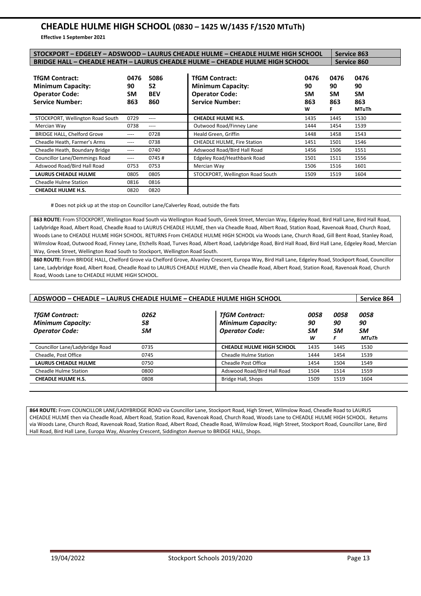## **CHEADLE HULME HIGH SCHOOL (0830 – 1425 W/1435 F/1520 MTuTh)**

**Effective 1 September 2021**

| STOCKPORT - EDGELEY - ADSWOOD - LAURUS CHEADLE HULME - CHEADLE HULME HIGH SCHOOL                     |                                |                                 |                                                                                                      |                              |                                     | <b>Service 863</b>                             |  |
|------------------------------------------------------------------------------------------------------|--------------------------------|---------------------------------|------------------------------------------------------------------------------------------------------|------------------------------|-------------------------------------|------------------------------------------------|--|
| <b>BRIDGE HALL - CHEADLE HEATH - LAURUS CHEADLE HULME - CHEADLE HULME HIGH SCHOOL</b>                |                                |                                 |                                                                                                      |                              |                                     | <b>Service 860</b>                             |  |
| <b>TfGM Contract:</b><br><b>Minimum Capacity:</b><br><b>Operator Code:</b><br><b>Service Number:</b> | 0476<br>90<br><b>SM</b><br>863 | 5086<br>52<br><b>BEV</b><br>860 | <b>TfGM Contract:</b><br><b>Minimum Capacity:</b><br><b>Operator Code:</b><br><b>Service Number:</b> | 0476<br>90<br>SM<br>863<br>W | 0476<br>90<br><b>SM</b><br>863<br>F | 0476<br>90<br><b>SM</b><br>863<br><b>MTuTh</b> |  |
| STOCKPORT, Wellington Road South                                                                     | 0729                           | ----                            | <b>CHEADLE HULME H.S.</b>                                                                            | 1435                         | 1445                                | 1530                                           |  |
| Mercian Way                                                                                          | 0738                           | ----                            | Outwood Road/Finney Lane                                                                             | 1444                         | 1454                                | 1539                                           |  |
| <b>BRIDGE HALL, Chelford Grove</b>                                                                   | ----                           | 0728                            | Heald Green, Griffin                                                                                 | 1448                         | 1458                                | 1543                                           |  |
| Cheadle Heath, Farmer's Arms                                                                         | $---$                          | 0738                            | <b>CHEADLE HULME, Fire Station</b>                                                                   | 1451                         | 1501                                | 1546                                           |  |
| Cheadle Heath, Boundary Bridge                                                                       | ----                           | 0740                            | Adswood Road/Bird Hall Road                                                                          | 1456                         | 1506                                | 1551                                           |  |
| <b>Councillor Lane/Demmings Road</b>                                                                 | ----                           | 0745#                           | Edgeley Road/Heathbank Road                                                                          | 1501                         | 1511                                | 1556                                           |  |
| Adswood Road/Bird Hall Road                                                                          | 0753                           | 0753                            | Mercian Way                                                                                          | 1506                         | 1516                                | 1601                                           |  |
| <b>LAURUS CHEADLE HULME</b>                                                                          | 0805                           | 0805                            | STOCKPORT, Wellington Road South                                                                     | 1509                         | 1519                                | 1604                                           |  |
| <b>Cheadle Hulme Station</b>                                                                         | 0816                           | 0816                            |                                                                                                      |                              |                                     |                                                |  |
| <b>CHEADLE HULME H.S.</b>                                                                            | 0820                           | 0820                            |                                                                                                      |                              |                                     |                                                |  |

# Does not pick up at the stop on Councillor Lane/Calverley Road, outside the flats

**863 ROUTE:** From STOCKPORT, Wellington Road South via Wellington Road South, Greek Street, Mercian Way, Edgeley Road, Bird Hall Lane, Bird Hall Road, Ladybridge Road, Albert Road, Cheadle Road to LAURUS CHEADLE HULME, then via Cheadle Road, Albert Road, Station Road, Ravenoak Road, Church Road, Woods Lane to CHEADLE HULME HIGH SCHOOL. RETURNS From CHEADLE HULME HIGH SCHOOL via Woods Lane, Church Road, Gill Bent Road, Stanley Road, Wilmslow Road, Outwood Road, Finney Lane, Etchells Road, Turves Road, Albert Road, Ladybridge Road, Bird Hall Road, Bird Hall Lane, Edgeley Road, Mercian Way, Greek Street, Wellington Road South to Stockport, Wellington Road South.

**860 ROUTE:** From BRIDGE HALL, Chelford Grove via Chelford Grove, Alvanley Crescent, Europa Way, Bird Hall Lane, Edgeley Road, Stockport Road, Councillor Lane, Ladybridge Road, Albert Road, Cheadle Road to LAURUS CHEADLE HULME, then via Cheadle Road, Albert Road, Station Road, Ravenoak Road, Church Road, Woods Lane to CHEADLE HULME HIGH SCHOOL.

| ADSWOOD - CHEADLE - LAURUS CHEADLE HULME - CHEADLE HULME HIGH SCHOOL       |                  |                                                                            |                       |                       | Service 864                      |
|----------------------------------------------------------------------------|------------------|----------------------------------------------------------------------------|-----------------------|-----------------------|----------------------------------|
| <b>TfGM Contract:</b><br><b>Minimum Capacity:</b><br><b>Operator Code:</b> | 0262<br>58<br>SM | <b>TfGM Contract:</b><br><b>Minimum Capacity:</b><br><b>Operator Code:</b> | 0058<br>90<br>SM<br>w | 0058<br>90<br>SM<br>F | 0058<br>90<br>SM<br><b>MTuTh</b> |
| Councillor Lane/Ladybridge Road                                            | 0735             | <b>CHEADLE HULME HIGH SCHOOL</b>                                           | 1435                  | 1445                  | 1530                             |
| Cheadle, Post Office                                                       | 0745             | Cheadle Hulme Station                                                      | 1444                  | 1454                  | 1539                             |
| <b>LAURUS CHEADLE HULME</b>                                                | 0750             | <b>Cheadle Post Office</b>                                                 | 1454                  | 1504                  | 1549                             |
| <b>Cheadle Hulme Station</b>                                               | 0800             | Adswood Road/Bird Hall Road                                                | 1504                  | 1514                  | 1559                             |
| <b>CHEADLE HULME H.S.</b>                                                  | 0808             | Bridge Hall, Shops                                                         | 1509                  | 1519                  | 1604                             |

**864 ROUTE:** From COUNCILLOR LANE/LADYBRIDGE ROAD via Councillor Lane, Stockport Road, High Street, Wilmslow Road, Cheadle Road to LAURUS CHEADLE HULME then via Cheadle Road, Albert Road, Station Road, Ravenoak Road, Church Road, Woods Lane to CHEADLE HULME HIGH SCHOOL. Returns via Woods Lane, Church Road, Ravenoak Road, Station Road, Albert Road, Cheadle Road, Wilmslow Road, High Street, Stockport Road, Councillor Lane, Bird Hall Road, Bird Hall Lane, Europa Way, Alvanley Crescent, Siddington Avenue to BRIDGE HALL, Shops.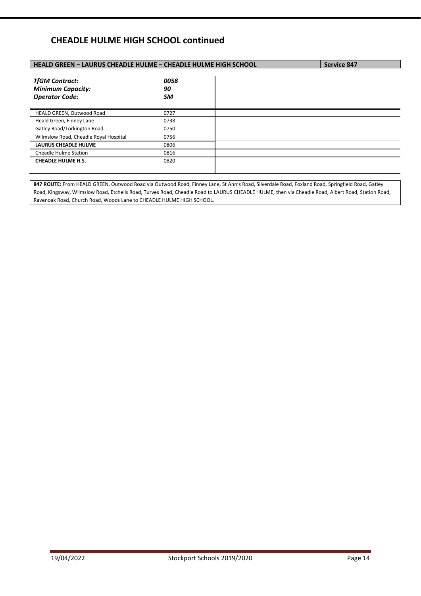## **CHEADLE HULME HIGH SCHOOL continued**

|                  | <b>Service 847</b>                                                    |
|------------------|-----------------------------------------------------------------------|
| 0058<br>90<br>SM |                                                                       |
| 0727             |                                                                       |
| 0738             |                                                                       |
| 0750             |                                                                       |
| 0756             |                                                                       |
| 0806             |                                                                       |
| 0816             |                                                                       |
| 0820             |                                                                       |
|                  | <b>HEALD GREEN - LAURUS CHEADLE HULME - CHEADLE HULME HIGH SCHOOL</b> |

**847 ROUTE:** From HEALD GREEN, Outwood Road via Outwood Road, Finney Lane, St Ann's Road, Silverdale Road, Foxland Road, Springfield Road, Gatley Road, Kingsway, Wilmslow Road, Etchells Road, Turves Road, Cheadle Road to LAURUS CHEADLE HULME, then via Cheadle Road, Albert Road, Station Road, Ravenoak Road, Church Road, Woods Lane to CHEADLE HULME HIGH SCHOOL.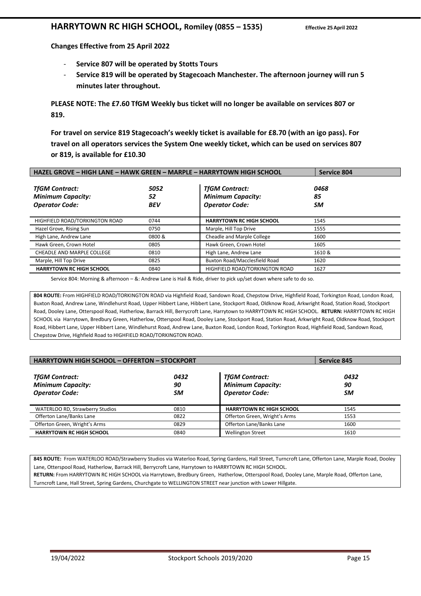## **HARRYTOWN RC HIGH SCHOOL, Romiley (0855 – 1535) Effective 25April 2022**

**Changes Effective from 25 April 2022** 

- **Service 807 will be operated by Stotts Tours**
- **Service 819 will be operated by Stagecoach Manchester. The afternoon journey will run 5 minutes later throughout.**

**PLEASE NOTE: The £7.60 TfGM Weekly bus ticket will no longer be available on services 807 or 819.** 

**For travel on service 819 Stagecoach's weekly ticket is available for £8.70 (with an igo pass). For travel on all operators services the System One weekly ticket, which can be used on services 807 or 819, is available for £10.30** 

| HAZEL GROVE - HIGH LANE - HAWK GREEN - MARPLE - HARRYTOWN HIGH SCHOOL      |                          |                                                                            | <b>Service 804</b> |  |
|----------------------------------------------------------------------------|--------------------------|----------------------------------------------------------------------------|--------------------|--|
| <b>TfGM Contract:</b><br><b>Minimum Capacity:</b><br><b>Operator Code:</b> | 5052<br>52<br><b>BEV</b> | <b>TfGM Contract:</b><br><b>Minimum Capacity:</b><br><b>Operator Code:</b> | 0468<br>85<br>SM   |  |
| HIGHFIELD ROAD/TORKINGTON ROAD                                             | 0744                     | <b>HARRYTOWN RC HIGH SCHOOL</b>                                            | 1545               |  |
| Hazel Grove, Rising Sun                                                    | 0750                     | Marple, Hill Top Drive                                                     | 1555               |  |
| High Lane, Andrew Lane                                                     | 0800 &                   | Cheadle and Marple College                                                 | 1600               |  |
| Hawk Green, Crown Hotel                                                    | 0805                     | Hawk Green, Crown Hotel                                                    | 1605               |  |
| CHEADLE AND MARPLE COLLEGE                                                 | 0810                     | High Lane, Andrew Lane                                                     | 1610 &             |  |
| Marple, Hill Top Drive                                                     | 0825                     | Buxton Road/Macclesfield Road                                              | 1620               |  |
| <b>HARRYTOWN RC HIGH SCHOOL</b>                                            | 0840                     | HIGHFIELD ROAD/TORKINGTON ROAD                                             | 1627               |  |

Service 804: Morning & afternoon – &: Andrew Lane is Hail & Ride, driver to pick up/set down where safe to do so.

**804 ROUTE:** From HIGHFIELD ROAD/TORKINGTON ROAD via Highfield Road, Sandown Road, Chepstow Drive, Highfield Road, Torkington Road, London Road, Buxton Road, Andrew Lane, Windlehurst Road, Upper Hibbert Lane, Hibbert Lane, Stockport Road, Oldknow Road, Arkwright Road, Station Road, Stockport Road, Dooley Lane, Otterspool Road, Hatherlow, Barrack Hill, Berrycroft Lane, Harrytown to HARRYTOWN RC HIGH SCHOOL. **RETURN:** HARRYTOWN RC HIGH SCHOOL via Harrytown, Bredbury Green, Hatherlow, Otterspool Road, Dooley Lane, Stockport Road, Station Road, Arkwright Road, Oldknow Road, Stockport Road, Hibbert Lane, Upper Hibbert Lane, Windlehurst Road, Andrew Lane, Buxton Road, London Road, Torkington Road, Highfield Road, Sandown Road, Chepstow Drive, Highfield Road to HIGHFIELD ROAD/TORKINGTON ROAD.

| <b>HARRYTOWN HIGH SCHOOL - OFFERTON - STOCKPORT</b>                        |                  |                                                                            | <b>Service 845</b> |
|----------------------------------------------------------------------------|------------------|----------------------------------------------------------------------------|--------------------|
| <b>TfGM Contract:</b><br><b>Minimum Capacity:</b><br><b>Operator Code:</b> | 0432<br>90<br>SМ | <b>TfGM Contract:</b><br><b>Minimum Capacity:</b><br><b>Operator Code:</b> | 0432<br>90<br>SМ   |
| WATERLOO RD, Strawberry Studios                                            | 0810             | <b>HARRYTOWN RC HIGH SCHOOL</b>                                            | 1545               |
| Offerton Lane/Banks Lane                                                   | 0822             | Offerton Green, Wright's Arms                                              | 1553               |
| Offerton Green, Wright's Arms                                              | 0829             | Offerton Lane/Banks Lane                                                   | 1600               |
| <b>HARRYTOWN RC HIGH SCHOOL</b>                                            | 0840             | <b>Wellington Street</b>                                                   | 1610               |

**845 ROUTE:** From WATERLOO ROAD/Strawberry Studios via Waterloo Road, Spring Gardens, Hall Street, Turncroft Lane, Offerton Lane, Marple Road, Dooley Lane, Otterspool Road, Hatherlow, Barrack Hill, Berrycroft Lane, Harrytown to HARRYTOWN RC HIGH SCHOOL.

**RETURN:** From HARRYTOWN RC HIGH SCHOOL via Harrytown, Bredbury Green, Hatherlow, Otterspool Road, Dooley Lane, Marple Road, Offerton Lane, Turncroft Lane, Hall Street, Spring Gardens, Churchgate to WELLINGTON STREET near junction with Lower Hillgate.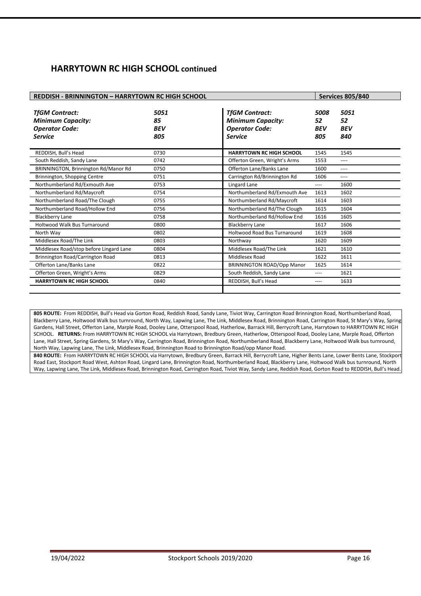## **HARRYTOWN RC HIGH SCHOOL continued**

| <b>REDDISH - BRINNINGTON - HARRYTOWN RC HIGH SCHOOL</b>                                      |                                 |                                                                                              |                                 | <b>Services 805/840</b>         |
|----------------------------------------------------------------------------------------------|---------------------------------|----------------------------------------------------------------------------------------------|---------------------------------|---------------------------------|
| <b>TfGM Contract:</b><br><b>Minimum Capacity:</b><br><b>Operator Code:</b><br><b>Service</b> | 5051<br>85<br><b>BEV</b><br>805 | <b>TfGM Contract:</b><br><b>Minimum Capacity:</b><br><b>Operator Code:</b><br><b>Service</b> | 5008<br>52<br><b>BEV</b><br>805 | 5051<br>52<br><b>BEV</b><br>840 |
| REDDISH, Bull's Head                                                                         | 0730                            | <b>HARRYTOWN RC HIGH SCHOOL</b>                                                              | 1545                            | 1545                            |
| South Reddish, Sandy Lane                                                                    | 0742                            | Offerton Green, Wright's Arms                                                                | 1553                            | $---$                           |
| BRINNINGTON, Brinnington Rd/Manor Rd                                                         | 0750                            | Offerton Lane/Banks Lane                                                                     | 1600                            | ----                            |
| Brinnington, Shopping Centre                                                                 | 0751                            | Carrington Rd/Brinnington Rd                                                                 | 1606                            | ----                            |
| Northumberland Rd/Exmouth Ave                                                                | 0753                            | Lingard Lane                                                                                 | ----                            | 1600                            |
| Northumberland Rd/Maycroft                                                                   | 0754                            | Northumberland Rd/Exmouth Ave                                                                | 1613                            | 1602                            |
| Northumberland Road/The Clough                                                               | 0755                            | Northumberland Rd/Maycroft                                                                   | 1614                            | 1603                            |
| Northumberland Road/Hollow End                                                               | 0756                            | Northumberland Rd/The Clough                                                                 | 1615                            | 1604                            |
| <b>Blackberry Lane</b>                                                                       | 0758                            | Northumberland Rd/Hollow End                                                                 | 1616                            | 1605                            |
| Holtwood Walk Bus Turnaround                                                                 | 0800                            | <b>Blackberry Lane</b>                                                                       | 1617                            | 1606                            |
| North Wav                                                                                    | 0802                            | <b>Holtwood Road Bus Turnaround</b>                                                          | 1619                            | 1608                            |
| Middlesex Road/The Link                                                                      | 0803                            | Northway                                                                                     | 1620                            | 1609                            |
| Middlesex Road/stop before Lingard Lane                                                      | 0804                            | Middlesex Road/The Link                                                                      | 1621                            | 1610                            |
| Brinnington Road/Carrington Road                                                             | 0813                            | Middlesex Road                                                                               | 1622                            | 1611                            |
| Offerton Lane/Banks Lane                                                                     | 0822                            | <b>BRINNINGTON ROAD/Opp Manor</b>                                                            | 1625                            | 1614                            |
| Offerton Green, Wright's Arms                                                                | 0829                            | South Reddish, Sandy Lane                                                                    | ----                            | 1621                            |
| <b>HARRYTOWN RC HIGH SCHOOL</b>                                                              | 0840                            | REDDISH, Bull's Head                                                                         | ----                            | 1633                            |
|                                                                                              |                                 |                                                                                              |                                 |                                 |

**805 ROUTE:** From REDDISH, Bull's Head via Gorton Road, Reddish Road, Sandy Lane, Tiviot Way, Carrington Road Brinnington Road, Northumberland Road, Blackberry Lane, Holtwood Walk bus turnround, North Way, Lapwing Lane, The Link, Middlesex Road, Brinnington Road, Carrington Road, St Mary's Way, Spring Gardens, Hall Street, Offerton Lane, Marple Road, Dooley Lane, Otterspool Road, Hatherlow, Barrack Hill, Berrycroft Lane, Harrytown to HARRYTOWN RC HIGH SCHOOL. **RETURNS:** From HARRYTOWN RC HIGH SCHOOL via Harrytown, Bredbury Green, Hatherlow, Otterspool Road, Dooley Lane, Marple Road, Offerton Lane, Hall Street, Spring Gardens, St Mary's Way, Carrington Road, Brinnington Road, Northumberland Road, Blackberry Lane, Holtwood Walk bus turnround, North Way, Lapwing Lane, The Link, Middlesex Road, Brinnington Road to Brinnington Road/opp Manor Road.

**840 ROUTE:** From HARRYTOWN RC HIGH SCHOOL via Harrytown, Bredbury Green, Barrack Hill, Berrycroft Lane, Higher Bents Lane, Lower Bents Lane, Stockport Road East, Stockport Road West, Ashton Road, Lingard Lane, Brinnington Road, Northumberland Road, Blackberry Lane, Holtwood Walk bus turnround, North Way, Lapwing Lane, The Link, Middlesex Road, Brinnington Road, Carrington Road, Tiviot Way, Sandy Lane, Reddish Road, Gorton Road to REDDISH, Bull's Head.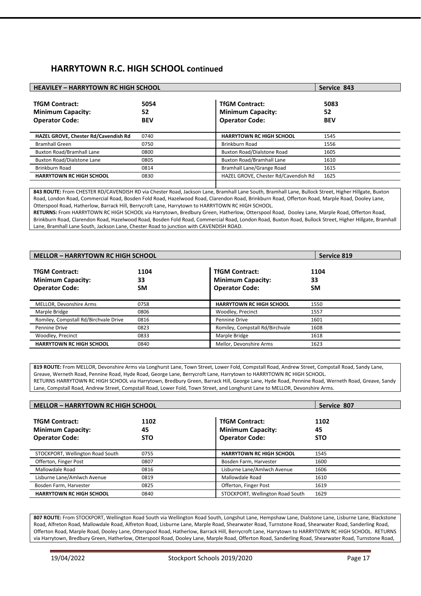## **HARRYTOWN R.C. HIGH SCHOOL continued**

| <b>HEAVILEY - HARRYTOWN RC HIGH SCHOOL</b>                                 |                          |                                                                            | Service 843              |
|----------------------------------------------------------------------------|--------------------------|----------------------------------------------------------------------------|--------------------------|
| <b>TfGM Contract:</b><br><b>Minimum Capacity:</b><br><b>Operator Code:</b> | 5054<br>52<br><b>BEV</b> | <b>TfGM Contract:</b><br><b>Minimum Capacity:</b><br><b>Operator Code:</b> | 5083<br>52<br><b>BEV</b> |
| HAZEL GROVE, Chester Rd/Cavendish Rd                                       | 0740                     | <b>HARRYTOWN RC HIGH SCHOOL</b>                                            | 1545                     |
| <b>Bramhall Green</b>                                                      | 0750                     | Brinkburn Road                                                             | 1556                     |
| <b>Buxton Road/Bramhall Lane</b>                                           | 0800                     | Buxton Road/Dialstone Road                                                 | 1605                     |
| <b>Buxton Road/Dialstone Lane</b>                                          | 0805                     | <b>Buxton Road/Bramhall Lane</b>                                           | 1610                     |
| Brinkburn Road                                                             | 0814                     | Bramhall Lane/Grange Road                                                  | 1615                     |
| <b>HARRYTOWN RC HIGH SCHOOL</b>                                            | 0830                     | HAZEL GROVE, Chester Rd/Cavendish Rd                                       | 1625                     |
|                                                                            |                          |                                                                            |                          |

**843 ROUTE:** From CHESTER RD/CAVENDISH RD via Chester Road, Jackson Lane, Bramhall Lane South, Bramhall Lane, Bullock Street, Higher Hillgate, Buxton Road, London Road, Commercial Road, Bosden Fold Road, Hazelwood Road, Clarendon Road, Brinkburn Road, Offerton Road, Marple Road, Dooley Lane, Otterspool Road, Hatherlow, Barrack Hill, Berrycroft Lane, Harrytown to HARRYTOWN RC HIGH SCHOOL.

**RETURNS:** From HARRYTOWN RC HIGH SCHOOL via Harrytown, Bredbury Green, Hatherlow, Otterspool Road, Dooley Lane, Marple Road, Offerton Road, Brinkburn Road, Clarendon Road, Hazelwood Road, Bosden Fold Road, Commercial Road, London Road, Buxton Road, Bullock Street, Higher Hillgate, Bramhall Lane, Bramhall Lane South, Jackson Lane, Chester Road to junction with CAVENDISH ROAD.

| <b>MELLOR - HARRYTOWN RC HIGH SCHOOL</b>                                   |                         |                                                                            | Service 819             |
|----------------------------------------------------------------------------|-------------------------|----------------------------------------------------------------------------|-------------------------|
| <b>TfGM Contract:</b><br><b>Minimum Capacity:</b><br><b>Operator Code:</b> | 1104<br>33<br><b>SM</b> | <b>TfGM Contract:</b><br><b>Minimum Capacity:</b><br><b>Operator Code:</b> | 1104<br>33<br><b>SM</b> |
| MELLOR, Devonshire Arms                                                    | 0758                    | <b>HARRYTOWN RC HIGH SCHOOL</b>                                            | 1550                    |
| Marple Bridge                                                              | 0806                    | Woodley, Precinct                                                          | 1557                    |
| Romiley, Compstall Rd/Birchvale Drive                                      | 0816                    | Pennine Drive                                                              | 1601                    |
| Pennine Drive                                                              | 0823                    | Romiley, Compstall Rd/Birchvale                                            | 1608                    |
| Woodley, Precinct                                                          | 0833                    | Marple Bridge                                                              | 1618                    |
| <b>HARRYTOWN RC HIGH SCHOOL</b>                                            | 0840                    | Mellor, Devonshire Arms                                                    | 1623                    |

**819 ROUTE:** From MELLOR, Devonshire Arms via Longhurst Lane, Town Street, Lower Fold, Compstall Road, Andrew Street, Compstall Road, Sandy Lane, Greave, Werneth Road, Pennine Road, Hyde Road, George Lane, Berrycroft Lane, Harrytown to HARRYTOWN RC HIGH SCHOOL. RETURNS HARRYTOWN RC HIGH SCHOOL via Harrytown, Bredbury Green, Barrack Hill, George Lane, Hyde Road, Pennine Road, Werneth Road, Greave, Sandy Lane, Compstall Road, Andrew Street, Compstall Road, Lower Fold, Town Street, and Longhurst Lane to MELLOR, Devonshire Arms.

| <b>MELLOR - HARRYTOWN RC HIGH SCHOOL</b>                                   |                          |                                                                            | Service 807              |
|----------------------------------------------------------------------------|--------------------------|----------------------------------------------------------------------------|--------------------------|
| <b>TfGM Contract:</b><br><b>Minimum Capacity:</b><br><b>Operator Code:</b> | 1102<br>45<br><b>STO</b> | <b>TfGM Contract:</b><br><b>Minimum Capacity:</b><br><b>Operator Code:</b> | 1102<br>45<br><b>STO</b> |
| STOCKPORT, Wellington Road South                                           | 0755                     | <b>HARRYTOWN RC HIGH SCHOOL</b>                                            | 1545                     |
| Offerton, Finger Post                                                      | 0807                     | Bosden Farm, Harvester                                                     | 1600                     |
| Mallowdale Road                                                            | 0816                     | Lisburne Lane/Amlwch Avenue                                                | 1606                     |
| Lisburne Lane/Amlwch Avenue                                                | 0819                     | Mallowdale Road                                                            | 1610                     |
| Bosden Farm, Harvester                                                     | 0825                     | Offerton, Finger Post                                                      | 1619                     |
| <b>HARRYTOWN RC HIGH SCHOOL</b>                                            | 0840                     | STOCKPORT, Wellington Road South                                           | 1629                     |

**807 ROUTE:** From STOCKPORT, Wellington Road South via Wellington Road South, Longshut Lane, Hempshaw Lane, Dialstone Lane, Lisburne Lane, Blackstone Road, Alfreton Road, Mallowdale Road, Alfreton Road, Lisburne Lane, Marple Road, Shearwater Road, Turnstone Road, Shearwater Road, Sanderling Road, Offerton Road, Marple Road, Dooley Lane, Otterspool Road, Hatherlow, Barrack Hill, Berrycroft Lane, Harrytown to HARRYTOWN RC HIGH SCHOOL. RETURNS via Harrytown, Bredbury Green, Hatherlow, Otterspool Road, Dooley Lane, Marple Road, Offerton Road, Sanderling Road, Shearwater Road, Turnstone Road,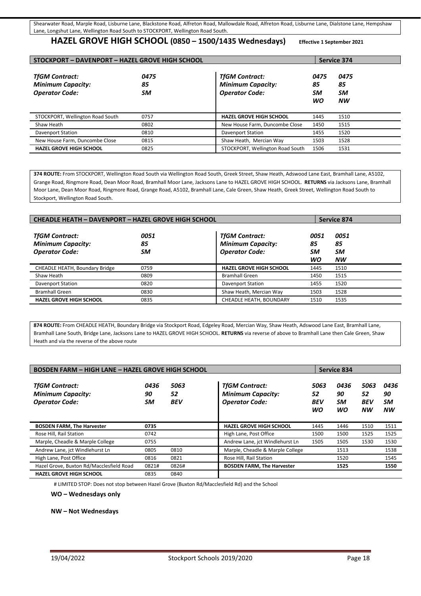#### **HAZEL GROVE HIGH SCHOOL (0850 – 1500/1435 Wednesdays) Effective 1 September 2021**

| STOCKPORT - DAVENPORT - HAZEL GROVE HIGH SCHOOL                            |                  |                                                                            |                        | Service 374                   |  |
|----------------------------------------------------------------------------|------------------|----------------------------------------------------------------------------|------------------------|-------------------------------|--|
| <b>TfGM Contract:</b><br><b>Minimum Capacity:</b><br><b>Operator Code:</b> | 0475<br>85<br>SM | <b>TfGM Contract:</b><br><b>Minimum Capacity:</b><br><b>Operator Code:</b> | 0475<br>85<br>SM<br>WO | 0475<br>85<br>SM<br><b>NW</b> |  |
| STOCKPORT, Wellington Road South                                           | 0757             | <b>HAZEL GROVE HIGH SCHOOL</b>                                             | 1445                   | 1510                          |  |
| Shaw Heath                                                                 | 0802             | New House Farm, Duncombe Close                                             | 1450                   | 1515                          |  |
| <b>Davenport Station</b>                                                   | 0810             | <b>Davenport Station</b>                                                   | 1455                   | 1520                          |  |
| New House Farm, Duncombe Close                                             | 0815             | Shaw Heath, Mercian Way                                                    | 1503                   | 1528                          |  |
| <b>HAZEL GROVE HIGH SCHOOL</b>                                             | 0825             | STOCKPORT, Wellington Road South                                           | 1506                   | 1531                          |  |

**374 ROUTE:** From STOCKPORT, Wellington Road South via Wellington Road South, Greek Street, Shaw Heath, Adswood Lane East, Bramhall Lane, A5102, Grange Road, Ringmore Road, Dean Moor Road, Bramhall Moor Lane, Jacksons Lane to HAZEL GROVE HIGH SCHOOL. **RETURNS** via Jacksons Lane, Bramhall Moor Lane, Dean Moor Road, Ringmore Road, Grange Road, A5102, Bramhall Lane, Cale Green, Shaw Heath, Greek Street, Wellington Road South to Stockport, Wellington Road South.

| <b>CHEADLE HEATH - DAVENPORT - HAZEL GROVE HIGH SCHOOL</b>                 |                  |                                                                            |                               | Service 874                   |
|----------------------------------------------------------------------------|------------------|----------------------------------------------------------------------------|-------------------------------|-------------------------------|
| <b>TfGM Contract:</b><br><b>Minimum Capacity:</b><br><b>Operator Code:</b> | 0051<br>85<br>SM | <b>TfGM Contract:</b><br><b>Minimum Capacity:</b><br><b>Operator Code:</b> | 0051<br>85<br><b>SM</b><br>WO | 0051<br>85<br>SM<br><b>NW</b> |
| CHEADLE HEATH, Boundary Bridge                                             | 0759             | <b>HAZEL GROVE HIGH SCHOOL</b>                                             | 1445                          | 1510                          |
| Shaw Heath                                                                 | 0809             | <b>Bramhall Green</b>                                                      | 1450                          | 1515                          |
| <b>Davenport Station</b>                                                   | 0820             | <b>Davenport Station</b>                                                   | 1455                          | 1520                          |
| <b>Bramhall Green</b>                                                      | 0830             | Shaw Heath, Mercian Way                                                    | 1503                          | 1528                          |
| <b>HAZEL GROVE HIGH SCHOOL</b>                                             | 0835             | CHEADLE HEATH, BOUNDARY                                                    | 1510                          | 1535                          |
|                                                                            |                  |                                                                            |                               |                               |

**874 ROUTE:** From CHEADLE HEATH, Boundary Bridge via Stockport Road, Edgeley Road, Mercian Way, Shaw Heath, Adswood Lane East, Bramhall Lane, Bramhall Lane South, Bridge Lane, Jacksons Lane to HAZEL GROVE HIGH SCHOOL. **RETURNS** via reverse of above to Bramhall Lane then Cale Green, Shaw Heath and via the reverse of the above route

| <b>BOSDEN FARM - HIGH LANE - HAZEL GROVE HIGH SCHOOL</b>                   |                  |                          |                                                                            |                                | <b>Service 834</b>     |                                       |                               |
|----------------------------------------------------------------------------|------------------|--------------------------|----------------------------------------------------------------------------|--------------------------------|------------------------|---------------------------------------|-------------------------------|
| <b>TfGM Contract:</b><br><b>Minimum Capacity:</b><br><b>Operator Code:</b> | 0436<br>90<br>SM | 5063<br>52<br><b>BEV</b> | <b>TfGM Contract:</b><br><b>Minimum Capacity:</b><br><b>Operator Code:</b> | 5063<br>52<br><b>BEV</b><br>WO | 0436<br>90<br>SM<br>WO | 5063<br>52<br><b>BEV</b><br><b>NW</b> | 0436<br>90<br>SМ<br><b>NW</b> |
| <b>BOSDEN FARM, The Harvester</b>                                          | 0735             |                          | <b>HAZEL GROVE HIGH SCHOOL</b>                                             | 1445                           | 1446                   | 1510                                  | 1511                          |
| Rose Hill, Rail Station                                                    | 0742             |                          | High Lane, Post Office                                                     | 1500                           | 1500                   | 1525                                  | 1525                          |
| Marple, Cheadle & Marple College                                           | 0755             |                          | Andrew Lane, jct Windlehurst Ln                                            | 1505                           | 1505                   | 1530                                  | 1530                          |
| Andrew Lane, jct Windlehurst Ln                                            | 0805             | 0810                     | Marple, Cheadle & Marple College                                           |                                | 1513                   |                                       | 1538                          |
| High Lane, Post Office                                                     | 0816             | 0821                     | Rose Hill, Rail Station                                                    |                                | 1520                   |                                       | 1545                          |
| Hazel Grove, Buxton Rd/Macclesfield Road                                   | 0821#            | 0826#                    | <b>BOSDEN FARM, The Harvester</b>                                          |                                | 1525                   |                                       | 1550                          |
| <b>HAZEL GROVE HIGH SCHOOL</b>                                             | 0835             | 0840                     |                                                                            |                                |                        |                                       |                               |

# LIMITED STOP: Does not stop between Hazel Grove (Buxton Rd/Macclesfield Rd) and the School

**WO – Wednesdays only** 

**NW – Not Wednesdays**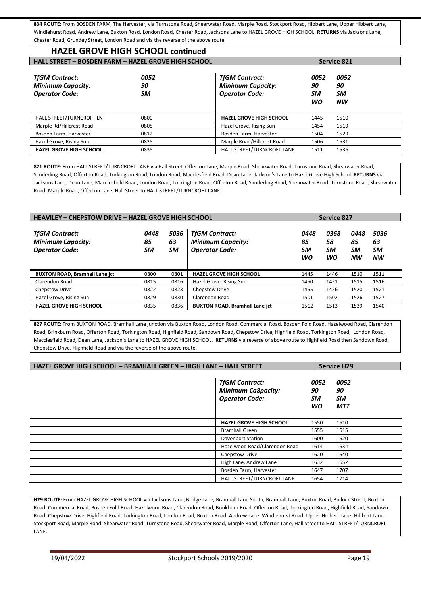**834 ROUTE:** From BOSDEN FARM, The Harvester, via Turnstone Road, Shearwater Road, Marple Road, Stockport Road, Hibbert Lane, Upper Hibbert Lane, Windlehurst Road, Andrew Lane, Buxton Road, London Road, Chester Road, Jacksons Lane to HAZEL GROVE HIGH SCHOOL. **RETURNS** via Jacksons Lane, Chester Road, Grundey Street, London Road and via the reverse of the above route.

# **HAZEL GROVE HIGH SCHOOL continued**

| <b>HALL STREET - BOSDEN FARM - HAZEL GROVE HIGH SCHOOL</b>                 |                  |                                                                            | <b>Service 821</b>            |                               |
|----------------------------------------------------------------------------|------------------|----------------------------------------------------------------------------|-------------------------------|-------------------------------|
| <b>TfGM Contract:</b><br><b>Minimum Capacity:</b><br><b>Operator Code:</b> | 0052<br>90<br>SM | <b>TfGM Contract:</b><br><b>Minimum Capacity:</b><br><b>Operator Code:</b> | 0052<br>90<br>SM<br><b>WO</b> | 0052<br>90<br>SM<br><b>NW</b> |
| HALL STREET/TURNCROFT LN                                                   | 0800             | <b>HAZEL GROVE HIGH SCHOOL</b>                                             | 1445                          | 1510                          |
| Marple Rd/Hillcrest Road                                                   | 0805             | Hazel Grove, Rising Sun                                                    | 1454                          | 1519                          |
| Bosden Farm, Harvester                                                     | 0812             | Bosden Farm, Harvester                                                     | 1504                          | 1529                          |
| Hazel Grove, Rising Sun                                                    | 0825             | Marple Road/Hillcrest Road                                                 | 1506                          | 1531                          |
| <b>HAZEL GROVE HIGH SCHOOL</b>                                             | 0835             | HALL STREET/TURNCROFT LANE                                                 | 1511                          | 1536                          |

**821 ROUTE:** From HALL STREET/TURNCROFT LANE via Hall Street, Offerton Lane, Marple Road, Shearwater Road, Turnstone Road, Shearwater Road, Sanderling Road, Offerton Road, Torkington Road, London Road, Macclesfield Road, Dean Lane, Jackson's Lane to Hazel Grove High School. **RETURNS** via Jacksons Lane, Dean Lane, Macclesfield Road, London Road, Torkington Road, Offerton Road, Sanderling Road, Shearwater Road, Turnstone Road, Shearwater Road, Marple Road, Offerton Lane, Hall Street to HALL STREET/TURNCROFT LANE.

| <b>HEAVILEY - CHEPSTOW DRIVE - HAZEL GROVE HIGH SCHOOL</b><br><b>Service 827</b> |                  |                  |                                                                            |                        |                        |                               |                                      |
|----------------------------------------------------------------------------------|------------------|------------------|----------------------------------------------------------------------------|------------------------|------------------------|-------------------------------|--------------------------------------|
| <b>TfGM Contract:</b><br><b>Minimum Capacity:</b><br><b>Operator Code:</b>       | 0448<br>85<br>SM | 5036<br>63<br>SM | <b>TfGM Contract:</b><br><b>Minimum Capacity:</b><br><b>Operator Code:</b> | 0448<br>85<br>SМ<br>WO | 0368<br>58<br>SM<br>WO | 0448<br>85<br>SM<br><b>NW</b> | 5036<br>63<br><b>SM</b><br><b>NW</b> |
| <b>BUXTON ROAD, Bramhall Lane jct</b>                                            | 0800             | 0801             | <b>HAZEL GROVE HIGH SCHOOL</b>                                             | 1445                   | 1446                   | 1510                          | 1511                                 |
| Clarendon Road                                                                   | 0815             | 0816             | Hazel Grove, Rising Sun                                                    | 1450                   | 1451                   | 1515                          | 1516                                 |
| <b>Chepstow Drive</b>                                                            | 0822             | 0823             | <b>Chepstow Drive</b>                                                      | 1455                   | 1456                   | 1520                          | 1521                                 |
| Hazel Grove, Rising Sun                                                          | 0829             | 0830             | Clarendon Road                                                             | 1501                   | 1502                   | 1526                          | 1527                                 |
| <b>HAZEL GROVE HIGH SCHOOL</b>                                                   | 0835             | 0836             | <b>BUXTON ROAD, Bramhall Lane jct</b>                                      | 1512                   | 1513                   | 1539                          | 1540                                 |

**827 ROUTE:** From BUXTON ROAD, Bramhall Lane junction via Buxton Road, London Road, Commercial Road, Bosden Fold Road, Hazelwood Road, Clarendon Road, Brinkburn Road, Offerton Road, Torkington Road, Highfield Road, Sandown Road, Chepstow Drive, Highfield Road, Torkington Road, London Road, Macclesfield Road, Dean Lane, Jackson's Lane to HAZEL GROVE HIGH SCHOOL. **RETURNS** via reverse of above route to Highfield Road then Sandown Road, Chepstow Drive, Highfield Road and via the reverse of the above route.

| <b>HAZEL GROVE HIGH SCHOOL - BRAMHALL GREEN - HIGH LANE - HALL STREET</b> |                                                                             |                               | <b>Service H29</b>                    |  |
|---------------------------------------------------------------------------|-----------------------------------------------------------------------------|-------------------------------|---------------------------------------|--|
|                                                                           | <b>TfGM Contract:</b><br><b>Minimum Ca8pacity:</b><br><b>Operator Code:</b> | 0052<br>90<br>SM<br><b>WO</b> | 0052<br>90<br><b>SM</b><br><b>MTT</b> |  |
|                                                                           | <b>HAZEL GROVE HIGH SCHOOL</b>                                              | 1550                          | 1610                                  |  |
|                                                                           | <b>Bramhall Green</b>                                                       | 1555                          | 1615                                  |  |
|                                                                           | <b>Davenport Station</b>                                                    | 1600                          | 1620                                  |  |
|                                                                           | Hazelwood Road/Clarendon Road                                               | 1614                          | 1634                                  |  |
|                                                                           | Chepstow Drive                                                              | 1620                          | 1640                                  |  |
|                                                                           | High Lane, Andrew Lane                                                      | 1632                          | 1652                                  |  |
|                                                                           | Bosden Farm, Harvester                                                      | 1647                          | 1707                                  |  |
|                                                                           | HALL STREET/TURNCROFT LANE                                                  | 1654                          | 1714                                  |  |

H29 ROUTE: From HAZEL GROVE HIGH SCHOOL via Jacksons Lane, Bridge Lane, Bramhall Lane South, Bramhall Lane, Buxton Road, Bullock Street, Buxton Road, Commercial Road, Bosden Fold Road, Hazelwood Road, Clarendon Road, Brinkburn Road, Offerton Road, Torkington Road, Highfield Road, Sandown Road, Chepstow Drive, Highfield Road, Torkington Road, London Road, Buxton Road, Andrew Lane, Windlehurst Road, Upper Hibbert Lane, Hibbert Lane, Stockport Road, Marple Road, Shearwater Road, Turnstone Road, Shearwater Road, Marple Road, Offerton Lane, Hall Street to HALL STREET/TURNCROFT LANE.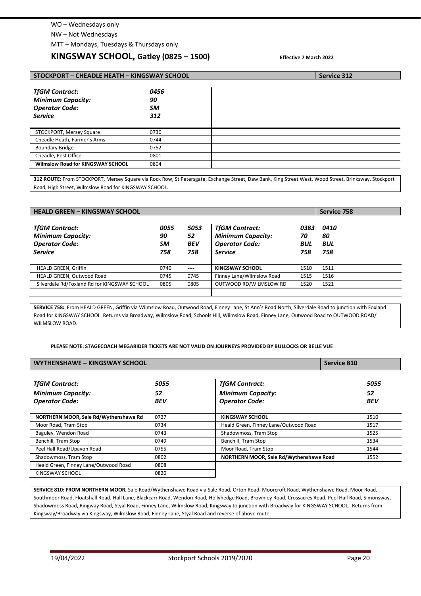#### WO – Wednesdays only

NW – Not Wednesdays

MTT – Mondays, Tuesdays & Thursdays only

## **KINGSWAY SCHOOL, Gatley (0825 – 1500) Effective 7 March 2022**

| STOCKPORT - CHEADLE HEATH - KINGSWAY SCHOOL                                                  | Service 312                    |  |
|----------------------------------------------------------------------------------------------|--------------------------------|--|
| <b>TfGM Contract:</b><br><b>Minimum Capacity:</b><br><b>Operator Code:</b><br><b>Service</b> | 0456<br>90<br><b>SM</b><br>312 |  |
| STOCKPORT, Mersey Square                                                                     | 0730                           |  |
| Cheadle Heath, Farmer's Arms                                                                 | 0744                           |  |
| <b>Boundary Bridge</b>                                                                       | 0752                           |  |
| Cheadle, Post Office                                                                         | 0801                           |  |
| Wilmslow Road for KINGSWAY SCHOOL                                                            | 0804                           |  |

**312 ROUTE:** From STOCKPORT, Mersey Square via Rock Row, St Petersgate, Exchange Street, Daw Bank, King Street West, Wood Street, Brinksway, Stockport Road, High Street, Wilmslow Road for KINGSWAY SCHOOL.

| <b>HEALD GREEN - KINGSWAY SCHOOL</b>                                                         |                         |                                 |                                                                                              | Service 758                     |                          |
|----------------------------------------------------------------------------------------------|-------------------------|---------------------------------|----------------------------------------------------------------------------------------------|---------------------------------|--------------------------|
| <b>TfGM Contract:</b><br><b>Minimum Capacity:</b><br><b>Operator Code:</b><br><b>Service</b> | 0055<br>90<br>SM<br>758 | 5053<br>52<br><b>BEV</b><br>758 | <b>TfGM Contract:</b><br><b>Minimum Capacity:</b><br><b>Operator Code:</b><br><b>Service</b> | 0383<br>70<br><b>BUL</b><br>758 | 0410<br>80<br>BUL<br>758 |
| <b>HEALD GREEN, Griffin</b>                                                                  | 0740                    | $---$                           | <b>KINGSWAY SCHOOL</b>                                                                       | 1510                            | 1511                     |
| HEALD GREEN, Outwood Road                                                                    | 0745                    | 0745                            | Finney Lane/Wilmslow Road                                                                    | 1515                            | 1516                     |
| Silverdale Rd/Foxland Rd for KINGSWAY SCHOOL                                                 | 0805                    | 0805                            | OUTWOOD RD/WILMSLOW RD                                                                       | 1520                            | 1521                     |
|                                                                                              |                         |                                 |                                                                                              |                                 |                          |

**SERVICE 758:** From HEALD GREEN, Griffin via Wilmslow Road, Outwood Road, Finney Lane, St Ann's Road North, Silverdale Road to junction with Foxland Road for KINGSWAY SCHOOL. Returns via Broadway, Wilmslow Road, Schools Hill, Wilmslow Road, Finney Lane, Outwood Road to OUTWOOD ROAD/ WILMSLOW ROAD.

#### **PLEASE NOTE: STAGECOACH MEGARIDER TICKETS ARE NOT VALID ON JOURNEYS PROVIDED BY BULLOCKS OR BELLE VUE**

| WYTHENSHAWE - KINGSWAY SCHOOL                                              |                          |                                                                            | <b>Service 810</b>       |  |
|----------------------------------------------------------------------------|--------------------------|----------------------------------------------------------------------------|--------------------------|--|
| <b>TfGM Contract:</b><br><b>Minimum Capacity:</b><br><b>Operator Code:</b> | 5055<br>52<br><b>BEV</b> | <b>TfGM Contract:</b><br><b>Minimum Capacity:</b><br><b>Operator Code:</b> | 5055<br>52<br><b>BEV</b> |  |
| NORTHERN MOOR, Sale Rd/Wythenshawe Rd                                      | 0727                     | KINGSWAY SCHOOL                                                            | 1510                     |  |
| Moor Road, Tram Stop                                                       | 0734                     | Heald Green, Finney Lane/Outwood Road                                      | 1517                     |  |
| Baguley, Wendon Road                                                       | 0743                     | Shadowmoss, Tram Stop                                                      | 1525                     |  |
| Benchill, Tram Stop                                                        | 0749                     | Benchill, Tram Stop                                                        | 1534                     |  |
| Peel Hall Road/Upavon Road                                                 | 0755                     | Moor Road, Tram Stop                                                       | 1544                     |  |
| Shadowmoss, Tram Stop                                                      | 0802                     | NORTHERN MOOR, Sale Rd/Wythenshawe Road                                    | 1552                     |  |
| Heald Green, Finney Lane/Outwood Road                                      | 0808                     |                                                                            |                          |  |
| KINGSWAY SCHOOL                                                            | 0820                     |                                                                            |                          |  |

**SERVICE 810: FROM NORTHERN MOOR,** Sale Road/Wythenshawe Road via Sale Road, Orton Road, Moorcroft Road, Wythenshawe Road, Moor Road, Southmoor Road, Floatshall Road, Hall Lane, Blackcarr Road, Wendon Road, Hollyhedge Road, Brownley Road, Crossacres Road, Peel Hall Road, Simonsway, Shadowmoss Road, Ringway Road, Styal Road, Finney Lane, Wilmslow Road, Kingsway to junction with Broadway for KINGSWAY SCHOOL. Returns from Kingsway/Broadway via Kingsway, Wilmslow Road, Finney Lane, Styal Road and reverse of above route.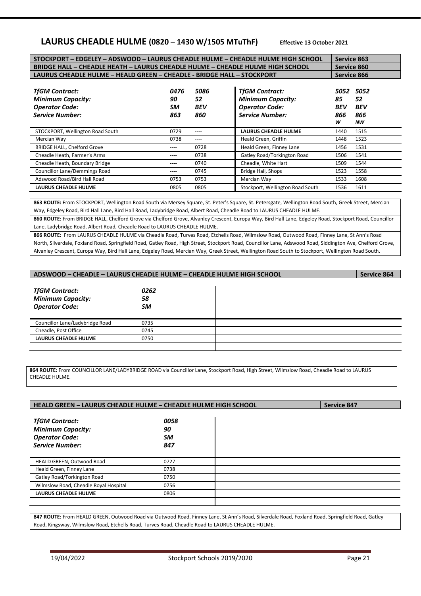## **LAURUS CHEADLE HULME (0820 – 1430 W/1505 MTuThF) Effective 13 October 2021**

| STOCKPORT - EDGELEY - ADSWOOD - LAURUS CHEADLE HULME - CHEADLE HULME HIGH SCHOOL                     | <b>Service 863</b>      |                                 |                                                                                                      |                                      |                                       |
|------------------------------------------------------------------------------------------------------|-------------------------|---------------------------------|------------------------------------------------------------------------------------------------------|--------------------------------------|---------------------------------------|
| BRIDGE HALL - CHEADLE HEATH - LAURUS CHEADLE HULME - CHEADLE HULME HIGH SCHOOL                       |                         | <b>Service 860</b>              |                                                                                                      |                                      |                                       |
| LAURUS CHEADLE HULME - HEALD GREEN - CHEADLE - BRIDGE HALL - STOCKPORT                               | Service 866             |                                 |                                                                                                      |                                      |                                       |
| <b>TfGM Contract:</b><br><b>Minimum Capacity:</b><br><b>Operator Code:</b><br><b>Service Number:</b> | 0476<br>90<br>SM<br>863 | 5086<br>52<br><b>BEV</b><br>860 | <b>TfGM Contract:</b><br><b>Minimum Capacity:</b><br><b>Operator Code:</b><br><b>Service Number:</b> | 5052<br>85<br><b>BEV</b><br>866<br>w | 5052<br>52<br><b>BEV</b><br>866<br>NW |
| STOCKPORT, Wellington Road South                                                                     | 0729                    | ----                            | <b>LAURUS CHEADLE HULME</b>                                                                          | 1440                                 | 1515                                  |
| Mercian Way                                                                                          | 0738                    | ----                            | Heald Green, Griffin                                                                                 | 1448                                 | 1523                                  |
| <b>BRIDGE HALL, Chelford Grove</b>                                                                   | ----                    | 0728                            | Heald Green, Finney Lane                                                                             | 1456                                 | 1531                                  |
| Cheadle Heath, Farmer's Arms                                                                         | ----                    | 0738                            | Gatley Road/Torkington Road                                                                          | 1506                                 | 1541                                  |
| Cheadle Heath, Boundary Bridge                                                                       | ----                    | 0740                            | Cheadle, White Hart                                                                                  | 1509                                 | 1544                                  |
| Councillor Lane/Demmings Road                                                                        | ----                    | 0745                            | Bridge Hall, Shops                                                                                   | 1523                                 | 1558                                  |
| Adswood Road/Bird Hall Road                                                                          | 0753                    | 0753                            | Mercian Way                                                                                          | 1533                                 | 1608                                  |
| <b>LAURUS CHEADLE HULME</b>                                                                          | 0805                    | 0805                            | Stockport, Wellington Road South                                                                     | 1536                                 | 1611                                  |

**863 ROUTE:** From STOCKPORT, Wellington Road South via Mersey Square, St. Peter's Square, St. Petersgate, Wellington Road South, Greek Street, Mercian Way, Edgeley Road, Bird Hall Lane, Bird Hall Road, Ladybridge Road, Albert Road, Cheadle Road to LAURUS CHEADLE HULME.

**860 ROUTE:** From BRIDGE HALL, Chelford Grove via Chelford Grove, Alvanley Crescent, Europa Way, Bird Hall Lane, Edgeley Road, Stockport Road, Councillor Lane, Ladybridge Road, Albert Road, Cheadle Road to LAURUS CHEADLE HULME.

**866 ROUTE:** From LAURUS CHEADLE HULME via Cheadle Road, Turves Road, Etchells Road, Wilmslow Road, Outwood Road, Finney Lane, St Ann's Road North, Silverdale, Foxland Road, Springfield Road, Gatley Road, High Street, Stockport Road, Councillor Lane, Adswood Road, Siddington Ave, Chelford Grove, Alvanley Crescent, Europa Way, Bird Hall Lane, Edgeley Road, Mercian Way, Greek Street, Wellington Road South to Stockport, Wellington Road South.

## **ADSWOOD – CHEADLE – LAURUS CHEADLE HULME – CHEADLE HULME HIGH SCHOOL Service 864** *TfGM Contract: 0262 Minimum Capacity: 58 Operator Code: SM*

| Councillor Lane/Ladybridge Road | 0735 |  |
|---------------------------------|------|--|
| Cheadle, Post Office            | 0745 |  |
| <b>LAURUS CHEADLE HULME</b>     | 0750 |  |
|                                 |      |  |

**864 ROUTE:** From COUNCILLOR LANE/LADYBRIDGE ROAD via Councillor Lane, Stockport Road, High Street, Wilmslow Road, Cheadle Road to LAURUS CHEADLE HULME.

| <b>HEALD GREEN - LAURUS CHEADLE HULME - CHEADLE HULME HIGH SCHOOL</b>                                |                         | <b>Service 847</b> |
|------------------------------------------------------------------------------------------------------|-------------------------|--------------------|
| <b>TfGM Contract:</b><br><b>Minimum Capacity:</b><br><b>Operator Code:</b><br><b>Service Number:</b> | 0058<br>90<br>SM<br>847 |                    |
| HEALD GREEN, Outwood Road                                                                            | 0727                    |                    |
| Heald Green, Finney Lane                                                                             | 0738                    |                    |
| Gatley Road/Torkington Road                                                                          | 0750                    |                    |
| Wilmslow Road, Cheadle Royal Hospital                                                                | 0756                    |                    |
| <b>LAURUS CHEADLE HULME</b>                                                                          | 0806                    |                    |
|                                                                                                      |                         |                    |

**847 ROUTE:** From HEALD GREEN, Outwood Road via Outwood Road, Finney Lane, St Ann's Road, Silverdale Road, Foxland Road, Springfield Road, Gatley Road, Kingsway, Wilmslow Road, Etchells Road, Turves Road, Cheadle Road to LAURUS CHEADLE HULME.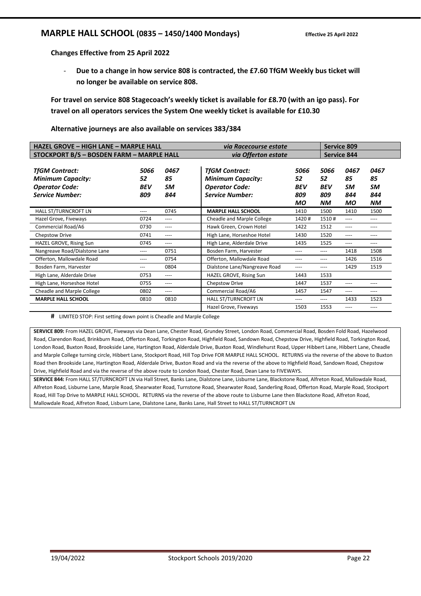## **MARPLE HALL SCHOOL (0835 – 1450/1400 Mondays)** Effective 25 April 2022

**Changes Effective from 25 April 2022** 

- **Due to a change in how service 808 is contracted, the £7.60 TfGM Weekly bus ticket will no longer be available on service 808.** 

**For travel on service 808 Stagecoach's weekly ticket is available for £8.70 (with an igo pass). For travel on all operators services the System One weekly ticket is available for £10.30** 

**Alternative journeys are also available on services 383/384**

| <b>HAZEL GROVE - HIGH LANE - MARPLE HALL</b>                                                         |                                 |                         | via Racecourse estate                                                                                |                                              |                                       |                                      |                                             |  |
|------------------------------------------------------------------------------------------------------|---------------------------------|-------------------------|------------------------------------------------------------------------------------------------------|----------------------------------------------|---------------------------------------|--------------------------------------|---------------------------------------------|--|
| STOCKPORT B/S - BOSDEN FARM - MARPLE HALL                                                            |                                 |                         | via Offerton estate                                                                                  |                                              |                                       | <b>Service 844</b>                   |                                             |  |
| <b>TfGM Contract:</b><br><b>Minimum Capacity:</b><br><b>Operator Code:</b><br><b>Service Number:</b> | 5066<br>52<br><b>BEV</b><br>809 | 0467<br>85<br>SM<br>844 | <b>TfGM Contract:</b><br><b>Minimum Capacity:</b><br><b>Operator Code:</b><br><b>Service Number:</b> | 5066<br>52<br><b>BEV</b><br>809<br><b>MO</b> | 5066<br>52<br><b>BEV</b><br>809<br>ΝM | 0467<br>85<br>SM<br>844<br><b>MO</b> | 0467<br>85<br><b>SM</b><br>844<br><b>NM</b> |  |
| HALL ST/TURNCROFT LN                                                                                 | $---$                           | 0745                    | <b>MARPLE HALL SCHOOL</b>                                                                            | 1410                                         | 1500                                  | 1410                                 | 1500                                        |  |
| Hazel Grove, Fiveways                                                                                | 0724                            | ----                    | Cheadle and Marple College                                                                           | 1420#                                        | 1510#                                 | ----                                 | ----                                        |  |
| Commercial Road/A6                                                                                   | 0730                            | ----                    | Hawk Green, Crown Hotel                                                                              | 1422                                         | 1512                                  | ----                                 | ----                                        |  |
| Chepstow Drive                                                                                       | 0741                            | $---$                   | High Lane, Horseshoe Hotel                                                                           | 1430                                         | 1520                                  | ----                                 | ----                                        |  |
| HAZEL GROVE, Rising Sun                                                                              | 0745                            | ----                    | High Lane, Alderdale Drive                                                                           | 1435                                         | 1525                                  | ----                                 | ----                                        |  |
| Nangreave Road/Dialstone Lane                                                                        | ----                            | 0751                    | Bosden Farm, Harvester                                                                               | ----                                         | ----                                  | 1418                                 | 1508                                        |  |
| Offerton, Mallowdale Road                                                                            | $- - - -$                       | 0754                    | Offerton, Mallowdale Road                                                                            | ----                                         | ----                                  | 1426                                 | 1516                                        |  |
| Bosden Farm, Harvester                                                                               | ---                             | 0804                    | Dialstone Lane/Nangreave Road                                                                        | ----                                         | ----                                  | 1429                                 | 1519                                        |  |
| High Lane, Alderdale Drive                                                                           | 0753                            | $---$                   | HAZEL GROVE, Rising Sun                                                                              | 1443                                         | 1533                                  |                                      |                                             |  |
| High Lane, Horseshoe Hotel                                                                           | 0755                            | $---$                   | Chepstow Drive                                                                                       | 1447                                         | 1537                                  | ----                                 | ----                                        |  |
| Cheadle and Marple College                                                                           | 0802                            | ----                    | Commercial Road/A6                                                                                   | 1457                                         | 1547                                  | ----                                 | ----                                        |  |
| <b>MARPLE HALL SCHOOL</b>                                                                            | 0810                            | 0810                    | HALL ST/TURNCROFT LN                                                                                 | ----                                         | ----                                  | 1433                                 | 1523                                        |  |
|                                                                                                      |                                 |                         | Hazel Grove, Fiveways                                                                                | 1503                                         | 1553                                  | ----                                 | ----                                        |  |

**#** LIMITED STOP: First setting down point is Cheadle and Marple College

**SERVICE 809:** From HAZEL GROVE, Fiveways via Dean Lane, Chester Road, Grundey Street, London Road, Commercial Road, Bosden Fold Road, Hazelwood Road, Clarendon Road, Brinkburn Road, Offerton Road, Torkington Road, Highfield Road, Sandown Road, Chepstow Drive, Highfield Road, Torkington Road, London Road, Buxton Road, Brookside Lane, Hartington Road, Alderdale Drive, Buxton Road, Windlehurst Road, Upper Hibbert Lane, Hibbert Lane, Cheadle and Marple College turning circle, Hibbert Lane, Stockport Road, Hill Top Drive FOR MARPLE HALL SCHOOL. RETURNS via the reverse of the above to Buxton Road then Brookside Lane, Hartington Road, Alderdale Drive, Buxton Road and via the reverse of the above to Highfield Road, Sandown Road, Chepstow Drive, Highfield Road and via the reverse of the above route to London Road, Chester Road, Dean Lane to FIVEWAYS.

**SERVICE 844:** From HALL ST/TURNCROFT LN via Hall Street, Banks Lane, Dialstone Lane, Lisburne Lane, Blackstone Road, Alfreton Road, Mallowdale Road, Alfreton Road, Lisburne Lane, Marple Road, Shearwater Road, Turnstone Road, Shearwater Road, Sanderling Road, Offerton Road, Marple Road, Stockport Road, Hill Top Drive to MARPLE HALL SCHOOL. RETURNS via the reverse of the above route to Lisburne Lane then Blackstone Road, Alfreton Road, Mallowdale Road, Alfreton Road, Lisburn Lane, Dialstone Lane, Banks Lane, Hall Street to HALL ST/TURNCROFT LN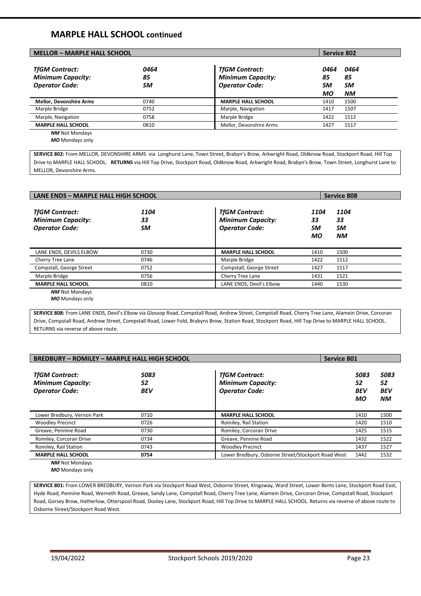## **MARPLE HALL SCHOOL continued**

| <b>MELLOR - MARPLE HALL SCHOOL</b>                                         |                  |                                                                            | <b>Service 802</b>     |                               |
|----------------------------------------------------------------------------|------------------|----------------------------------------------------------------------------|------------------------|-------------------------------|
| <b>TfGM Contract:</b><br><b>Minimum Capacity:</b><br><b>Operator Code:</b> | 0464<br>85<br>SM | <b>TfGM Contract:</b><br><b>Minimum Capacity:</b><br><b>Operator Code:</b> | 0464<br>85<br>SM<br>МO | 0464<br>85<br>SM<br><b>NM</b> |
| <b>Mellor, Devonshire Arms</b>                                             | 0740             | <b>MARPLE HALL SCHOOL</b>                                                  | 1410                   | 1500                          |
| Marple Bridge                                                              | 0752             | Marple, Navigation                                                         | 1417                   | 1507                          |
| Marple, Navigation                                                         | 0758             | Marple Bridge                                                              | 1422                   | 1512                          |
| <b>MARPLE HALL SCHOOL</b>                                                  | 0810             | Mellor, Devonshire Arms                                                    | 1427                   | 1517                          |
| <b>NM</b> Not Mondays                                                      |                  |                                                                            |                        |                               |

*MO* Mondays only

**SERVICE 802:** From MELLOR, DEVONSHIRE ARMS via Longhurst Lane, Town Street, Brabyn's Brow, Arkwright Road, Oldknow Road, Stockport Road, Hill Top Drive to MARPLE HALL SCHOOL. **RETURNS** via Hill Top Drive, Stockport Road, Oldknow Road, Arkwright Road, Brabyn's Brow, Town Street, Longhurst Lane to MELLOR, Devonshire Arms.

| LANE ENDS - MARPLE HALL HIGH SCHOOL                                                                                                                                                                                                                                                                                                                         |                  |                                                                            | Service 808            |                                      |  |
|-------------------------------------------------------------------------------------------------------------------------------------------------------------------------------------------------------------------------------------------------------------------------------------------------------------------------------------------------------------|------------------|----------------------------------------------------------------------------|------------------------|--------------------------------------|--|
| <b>TfGM Contract:</b><br><b>Minimum Capacity:</b><br><b>Operator Code:</b>                                                                                                                                                                                                                                                                                  | 1104<br>33<br>SM | <b>TfGM Contract:</b><br><b>Minimum Capacity:</b><br><b>Operator Code:</b> | 1104<br>33<br>SМ<br>МO | 1104<br>33<br><b>SM</b><br><b>NM</b> |  |
| LANE ENDS, DEVILS ELBOW                                                                                                                                                                                                                                                                                                                                     | 0730             | <b>MARPLE HALL SCHOOL</b>                                                  | 1410                   | 1500                                 |  |
| Cherry Tree Lane                                                                                                                                                                                                                                                                                                                                            | 0746             | Marple Bridge                                                              | 1422                   | 1512                                 |  |
| Compstall, George Street                                                                                                                                                                                                                                                                                                                                    | 0752             | Compstall, George Street                                                   | 1427                   | 1517                                 |  |
| Marple Bridge                                                                                                                                                                                                                                                                                                                                               | 0756             | Cherry Tree Lane                                                           | 1431                   | 1521                                 |  |
| <b>MARPLE HALL SCHOOL</b>                                                                                                                                                                                                                                                                                                                                   | 0810             | LANE ENDS, Devil's Elbow                                                   | 1440                   | 1530                                 |  |
| <b>NM</b> Not Mondays<br>$\mathbf{A}$ $\mathbf{A}$ $\mathbf{A}$ $\mathbf{A}$ $\mathbf{A}$ $\mathbf{A}$ $\mathbf{A}$ $\mathbf{A}$ $\mathbf{A}$ $\mathbf{A}$ $\mathbf{A}$ $\mathbf{A}$ $\mathbf{A}$ $\mathbf{A}$ $\mathbf{A}$ $\mathbf{A}$ $\mathbf{A}$ $\mathbf{A}$ $\mathbf{A}$ $\mathbf{A}$ $\mathbf{A}$ $\mathbf{A}$ $\mathbf{A}$ $\mathbf{A}$ $\mathbf{$ |                  |                                                                            |                        |                                      |  |

*MO* Mondays only

**SERVICE 808:** From LANE ENDS, Devil's Elbow via Glossop Road, Compstall Road, Andrew Street, Compstall Road, Cherry Tree Lane, Alamein Drive, Corcoran Drive, Compstall Road, Andrew Street, Compstall Road, Lower Fold, Brabyns Brow, Station Road, Stockport Road, Hill Top Drive to MARPLE HALL SCHOOL. RETURNS via reverse of above route.

| <b>BREDBURY - ROMILEY - MARPLE HALL HIGH SCHOOL</b>                        |                          |                                                                            | <b>Service 801</b>             |                                |  |
|----------------------------------------------------------------------------|--------------------------|----------------------------------------------------------------------------|--------------------------------|--------------------------------|--|
| <b>TfGM Contract:</b><br><b>Minimum Capacity:</b><br><b>Operator Code:</b> | 5083<br>52<br><b>BEV</b> | <b>TfGM Contract:</b><br><b>Minimum Capacity:</b><br><b>Operator Code:</b> | 5083<br>52<br><b>BEV</b><br>мо | 5083<br>52<br><b>BEV</b><br>ΝM |  |
| Lower Bredbury, Vernon Park                                                | 0710                     | <b>MARPLE HALL SCHOOL</b>                                                  | 1410                           | 1500                           |  |
| <b>Woodley Precinct</b>                                                    | 0726                     | Romiley, Rail Station                                                      | 1420                           | 1510                           |  |
| Greave, Pennine Road                                                       | 0730                     | Romiley, Corcoran Drive                                                    | 1425                           | 1515                           |  |
| Romiley, Corcoran Drive                                                    | 0734                     | Greave, Pennine Road                                                       | 1432                           | 1522                           |  |
| Romiley, Rail Station                                                      | 0743                     | <b>Woodley Precinct</b>                                                    | 1437                           | 1527                           |  |
| <b>MARPLE HALL SCHOOL</b>                                                  | 0754                     | Lower Bredbury, Osborne Street/Stockport Road West                         | 1442                           | 1532                           |  |

*NM* Not Mondays *MO* Mondays only

**SERVICE 801:** From LOWER BREDBURY, Vernon Park via Stockport Road West, Osborne Street, KIngsway, Ward Street, Lower Bents Lane, Stockport Road East, Hyde Road, Pennine Road, Werneth Road, Greave, Sandy Lane, Compstall Road, Cherry Tree Lane, Alamein Drive, Corcoran Drive, Compstall Road, Stockport Road, Gorsey Brow, Hatherlow, Otterspool Road, Dooley Lane, Stockport Road, Hill Top Drive to MARPLE HALL SCHOOL. Returns via reverse of above route to Osborne Street/Stockport Road West.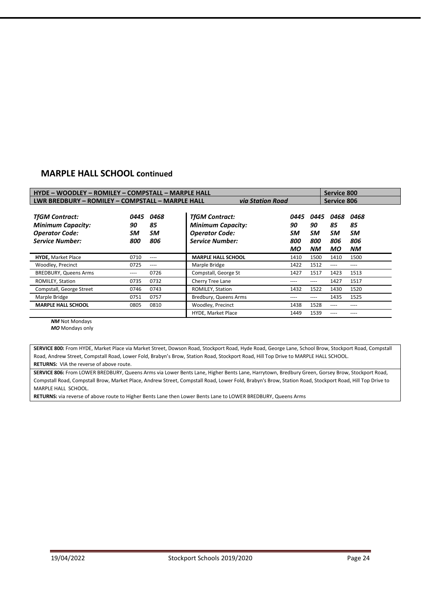## **MARPLE HALL SCHOOL continued**

| HYDE - WOODLEY - ROMILEY - COMPSTALL - MARPLE HALL                                                   |                         |                                |                                                                                                      |                                      |                                             |                                      | Service 800                          |
|------------------------------------------------------------------------------------------------------|-------------------------|--------------------------------|------------------------------------------------------------------------------------------------------|--------------------------------------|---------------------------------------------|--------------------------------------|--------------------------------------|
| LWR BREDBURY - ROMILEY - COMPSTALL - MARPLE HALL<br><b>via Station Road</b>                          |                         |                                |                                                                                                      |                                      | Service 806                                 |                                      |                                      |
| <b>TfGM Contract:</b><br><b>Minimum Capacity:</b><br><b>Operator Code:</b><br><b>Service Number:</b> | 0445<br>90<br>SM<br>800 | 0468<br>85<br><b>SM</b><br>806 | <b>TfGM Contract:</b><br><b>Minimum Capacity:</b><br><b>Operator Code:</b><br><b>Service Number:</b> | 0445<br>90<br>SM<br>800<br><b>MO</b> | 0445<br>90<br><b>SM</b><br>800<br><b>NM</b> | 0468<br>85<br>SM<br>806<br><b>MO</b> | 0468<br>85<br>SM<br>806<br><b>NM</b> |
| <b>HYDE, Market Place</b>                                                                            | 0710                    | $- - - -$                      | <b>MARPLE HALL SCHOOL</b>                                                                            | 1410                                 | 1500                                        | 1410                                 | 1500                                 |
| Woodley, Precinct                                                                                    | 0725                    | $- - - -$                      | Marple Bridge                                                                                        | 1422                                 | 1512                                        | ----                                 | ----                                 |
| <b>BREDBURY, Queens Arms</b>                                                                         | ----                    | 0726                           | Compstall, George St                                                                                 | 1427                                 | 1517                                        | 1423                                 | 1513                                 |
| ROMILEY, Station                                                                                     | 0735                    | 0732                           | Cherry Tree Lane                                                                                     | ----                                 | ----                                        | 1427                                 | 1517                                 |
| Compstall, George Street                                                                             | 0746                    | 0743                           | ROMILEY, Station                                                                                     | 1432                                 | 1522                                        | 1430                                 | 1520                                 |
| Marple Bridge                                                                                        | 0751                    | 0757                           | Bredbury, Queens Arms                                                                                | ----                                 | ----                                        | 1435                                 | 1525                                 |
| <b>MARPLE HALL SCHOOL</b>                                                                            | 0805                    | 0810                           | Woodley, Precinct                                                                                    | 1438                                 | 1528                                        | ----                                 | ----                                 |
|                                                                                                      |                         |                                | HYDE, Market Place                                                                                   | 1449                                 | 1539                                        | ----                                 |                                      |

*NM* Not Mondays

*MO* Mondays only

**SERVICE 800:** From HYDE, Market Place via Market Street, Dowson Road, Stockport Road, Hyde Road, George Lane, School Brow, Stockport Road, Compstall Road, Andrew Street, Compstall Road, Lower Fold, Brabyn's Brow, Station Road, Stockport Road, Hill Top Drive to MARPLE HALL SCHOOL. **RETURNS:** VIA the reverse of above route.

**SERVICE 806:** From LOWER BREDBURY, Queens Arms via Lower Bents Lane, Higher Bents Lane, Harrytown, Bredbury Green, Gorsey Brow, Stockport Road, Compstall Road, Compstall Brow, Market Place, Andrew Street, Compstall Road, Lower Fold, Brabyn's Brow, Station Road, Stockport Road, Hill Top Drive to MARPLE HALL SCHOOL.

**RETURNS:** via reverse of above route to Higher Bents Lane then Lower Bents Lane to LOWER BREDBURY, Queens Arms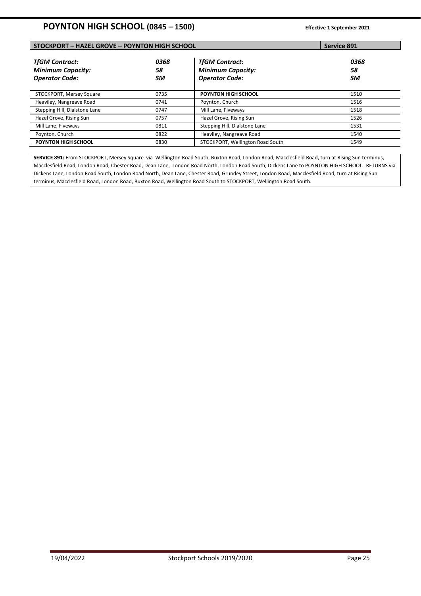## **STOCKPORT – HAZEL GROVE – POYNTON HIGH SCHOOL Service 891**

| <b>TfGM Contract:</b><br><b>Minimum Capacity:</b><br><b>Operator Code:</b> | 0368<br>58<br>SM | <b>TfGM Contract:</b><br><b>Minimum Capacity:</b><br><b>Operator Code:</b> | 0368<br>58<br>SM |
|----------------------------------------------------------------------------|------------------|----------------------------------------------------------------------------|------------------|
| STOCKPORT, Mersey Square                                                   | 0735             | <b>POYNTON HIGH SCHOOL</b>                                                 | 1510             |
| Heaviley, Nangreave Road                                                   | 0741             | Poynton, Church                                                            | 1516             |
| Stepping Hill, Dialstone Lane                                              | 0747             | Mill Lane, Fiveways                                                        | 1518             |
| Hazel Grove, Rising Sun                                                    | 0757             | Hazel Grove, Rising Sun                                                    | 1526             |
| Mill Lane, Fiveways                                                        | 0811             | Stepping Hill, Dialstone Lane                                              | 1531             |
| Poynton, Church                                                            | 0822             | Heaviley, Nangreave Road                                                   | 1540             |
| <b>POYNTON HIGH SCHOOL</b>                                                 | 0830             | STOCKPORT, Wellington Road South                                           | 1549             |

**SERVICE 891:** From STOCKPORT, Mersey Square via Wellington Road South, Buxton Road, London Road, Macclesfield Road, turn at Rising Sun terminus, Macclesfield Road, London Road, Chester Road, Dean Lane, London Road North, London Road South, Dickens Lane to POYNTON HIGH SCHOOL. RETURNS via Dickens Lane, London Road South, London Road North, Dean Lane, Chester Road, Grundey Street, London Road, Macclesfield Road, turn at Rising Sun terminus, Macclesfield Road, London Road, Buxton Road, Wellington Road South to STOCKPORT, Wellington Road South.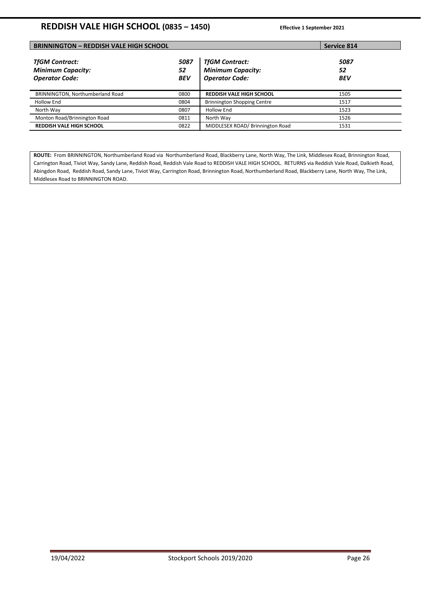## **REDDISH VALE HIGH SCHOOL (0835 – 1450) Effective 1 September 2021**

| <b>BRINNINGTON - REDDISH VALE HIGH SCHOOL</b>                              | <b>Service 814</b>       |                                                                            |                          |  |
|----------------------------------------------------------------------------|--------------------------|----------------------------------------------------------------------------|--------------------------|--|
| <b>TfGM Contract:</b><br><b>Minimum Capacity:</b><br><b>Operator Code:</b> | 5087<br>52<br><b>BEV</b> | <b>TfGM Contract:</b><br><b>Minimum Capacity:</b><br><b>Operator Code:</b> | 5087<br>52<br><b>BEV</b> |  |
| BRINNINGTON, Northumberland Road                                           | 0800                     | <b>REDDISH VALE HIGH SCHOOL</b>                                            | 1505                     |  |
| <b>Hollow End</b>                                                          | 0804                     | <b>Brinnington Shopping Centre</b>                                         | 1517                     |  |
| North Way                                                                  | 0807                     | <b>Hollow End</b>                                                          | 1523                     |  |
| Monton Road/Brinnington Road                                               | 0811                     | North Way                                                                  | 1526                     |  |
| <b>REDDISH VALE HIGH SCHOOL</b>                                            | 0822                     | MIDDLESEX ROAD/Brinnington Road                                            | 1531                     |  |

ROUTE: From BRINNINGTON, Northumberland Road via Northumberland Road, Blackberry Lane, North Way, The Link, Middlesex Road, Brinnington Road, Carrington Road, Tiviot Way, Sandy Lane, Reddish Road, Reddish Vale Road to REDDISH VALE HIGH SCHOOL. RETURNS via Reddish Vale Road, Dalkieth Road, Abingdon Road, Reddish Road, Sandy Lane, Tiviot Way, Carrington Road, Brinnington Road, Northumberland Road, Blackberry Lane, North Way, The Link, Middlesex Road to BRINNINGTON ROAD.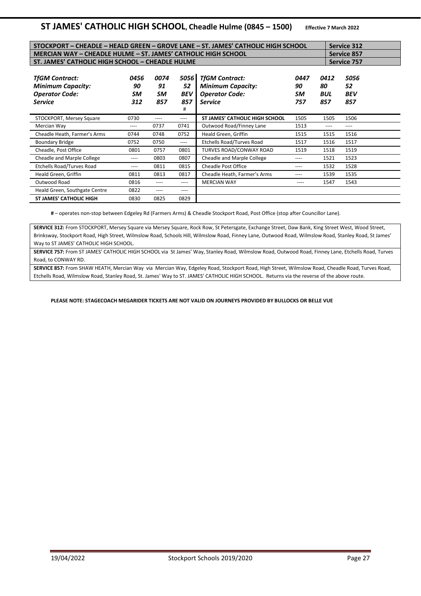## **ST JAMES' CATHOLIC HIGH SCHOOL, Cheadle Hulme (0845 – 1500) Effective 7 March 2022**

| STOCKPORT – CHEADLE – HEALD GREEN – GROVE LANE – ST. JAMES' CATHOLIC HIGH SCHOOL<br><b>Service 312</b> |                         |                         |                                        |                                                                                              |                         |                                 |                                 |  |
|--------------------------------------------------------------------------------------------------------|-------------------------|-------------------------|----------------------------------------|----------------------------------------------------------------------------------------------|-------------------------|---------------------------------|---------------------------------|--|
| MERCIAN WAY - CHEADLE HULME - ST. JAMES' CATHOLIC HIGH SCHOOL                                          |                         | <b>Service 857</b>      |                                        |                                                                                              |                         |                                 |                                 |  |
| ST. JAMES' CATHOLIC HIGH SCHOOL - CHEADLE HULME                                                        |                         | <b>Service 757</b>      |                                        |                                                                                              |                         |                                 |                                 |  |
| <b>TfGM Contract:</b><br><b>Minimum Capacity:</b><br><b>Operator Code:</b><br><b>Service</b>           | 0456<br>90<br>SM<br>312 | 0074<br>91<br>SM<br>857 | 5056 I<br>52<br><b>BEV</b><br>857<br># | <b>TfGM Contract:</b><br><b>Minimum Capacity:</b><br><b>Operator Code:</b><br><b>Service</b> | 0447<br>90<br>SM<br>757 | 0412<br>80<br><b>BUL</b><br>857 | 5056<br>52<br><b>BEV</b><br>857 |  |
| STOCKPORT, Mersey Square                                                                               | 0730                    | ----                    | $---$                                  | ST JAMES' CATHOLIC HIGH SCHOOL                                                               | 1505                    | 1505                            | 1506                            |  |
| Mercian Way                                                                                            | ----                    | 0737                    | 0741                                   | Outwood Road/Finney Lane                                                                     | 1513                    | ----                            | ----                            |  |
| Cheadle Heath, Farmer's Arms                                                                           | 0744                    | 0748                    | 0752                                   | Heald Green, Griffin                                                                         | 1515                    | 1515                            | 1516                            |  |
| <b>Boundary Bridge</b>                                                                                 | 0752                    | 0750                    | $---$                                  | <b>Etchells Road/Turves Road</b>                                                             | 1517                    | 1516                            | 1517                            |  |
| Cheadle, Post Office                                                                                   | 0801                    | 0757                    | 0801                                   | TURVES ROAD/CONWAY ROAD                                                                      | 1519                    | 1518                            | 1519                            |  |
| Cheadle and Marple College                                                                             | ----                    | 0803                    | 0807                                   | Cheadle and Marple College                                                                   | ----                    | 1521                            | 1523                            |  |
| Etchells Road/Turves Road                                                                              | ----                    | 0811                    | 0815                                   | <b>Cheadle Post Office</b>                                                                   | ----                    | 1532                            | 1528                            |  |
| Heald Green, Griffin                                                                                   | 0811                    | 0813                    | 0817                                   | Cheadle Heath, Farmer's Arms                                                                 | ----                    | 1539                            | 1535                            |  |
| Outwood Road                                                                                           | 0816                    | ----                    | ----                                   | <b>MERCIAN WAY</b>                                                                           | ----                    | 1547                            | 1543                            |  |
| Heald Green, Southgate Centre                                                                          | 0822                    | ----                    | $--- -$                                |                                                                                              |                         |                                 |                                 |  |
| <b>ST JAMES' CATHOLIC HIGH</b>                                                                         | 0830                    | 0825                    | 0829                                   |                                                                                              |                         |                                 |                                 |  |

**#** – operates non-stop between Edgeley Rd (Farmers Arms) & Cheadle Stockport Road, Post Office (stop after Councillor Lane).

**SERVICE 312:** From STOCKPORT, Mersey Square via Mersey Square, Rock Row, St Petersgate, Exchange Street, Daw Bank, King Street West, Wood Street, Brinksway, Stockport Road, High Street, Wilmslow Road, Schools Hill, Wilmslow Road, Finney Lane, Outwood Road, Wilmslow Road, Stanley Road, St James' Way to ST JAMES' CATHOLIC HIGH SCHOOL.

**SERVICE 757:** From ST JAMES' CATHOLIC HIGH SCHOOL via St James' Way, Stanley Road, Wilmslow Road, Outwood Road, Finney Lane, Etchells Road, Turves Road, to CONWAY RD.

**SERVICE 857:** From SHAW HEATH, Mercian Way via Mercian Way, Edgeley Road, Stockport Road, High Street, Wilmslow Road, Cheadle Road, Turves Road, Etchells Road, Wilmslow Road, Stanley Road, St. James' Way to ST. JAMES' CATHOLIC HIGH SCHOOL. Returns via the reverse of the above route.

#### **PLEASE NOTE: STAGECOACH MEGARIDER TICKETS ARE NOT VALID ON JOURNEYS PROVIDED BY BULLOCKS OR BELLE VUE**

**SCHOOL**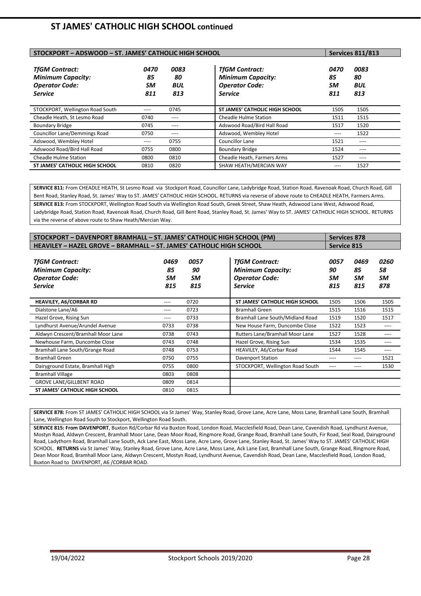## **ST JAMES' CATHOLIC HIGH SCHOOL continued**

| STOCKPORT - ADSWOOD - ST. JAMES' CATHOLIC HIGH SCHOOL                                        | <b>Services 811/813</b> |                                 |                                                                                              |                         |                          |
|----------------------------------------------------------------------------------------------|-------------------------|---------------------------------|----------------------------------------------------------------------------------------------|-------------------------|--------------------------|
| <b>TfGM Contract:</b><br><b>Minimum Capacity:</b><br><b>Operator Code:</b><br><b>Service</b> | 0470<br>85<br>SM<br>811 | 0083<br>80<br><b>BUL</b><br>813 | <b>TfGM Contract:</b><br><b>Minimum Capacity:</b><br><b>Operator Code:</b><br><b>Service</b> | 0470<br>85<br>SM<br>811 | 0083<br>80<br>BUL<br>813 |
| STOCKPORT, Wellington Road South                                                             | $- - - -$               | 0745                            | <b>ST JAMES' CATHOLIC HIGH SCHOOL</b>                                                        | 1505                    | 1505                     |
| Cheadle Heath, St Lesmo Road                                                                 | 0740                    | $---$                           | <b>Cheadle Hulme Station</b>                                                                 | 1511                    | 1515                     |
| <b>Boundary Bridge</b>                                                                       | 0745                    | $---$                           | Adswood Road/Bird Hall Road                                                                  | 1517                    | 1520                     |
| <b>Councillor Lane/Demmings Road</b>                                                         | 0750                    | ----                            | Adswood, Wembley Hotel                                                                       | ----                    | 1522                     |
| Adswood, Wembley Hotel                                                                       | $- - - -$               | 0755                            | <b>Councillor Lane</b>                                                                       | 1521                    | $---$                    |
| Adswood Road/Bird Hall Road                                                                  | 0755                    | 0800                            | <b>Boundary Bridge</b>                                                                       | 1524                    | $---$                    |
| <b>Cheadle Hulme Station</b>                                                                 | 0800                    | 0810                            | Cheadle Heath, Farmers Arms                                                                  | 1527                    | $---$                    |
| <b>ST JAMES' CATHOLIC HIGH SCHOOL</b>                                                        | 0810                    | 0820                            | SHAW HEATH/MERCIAN WAY                                                                       | ----                    | 1527                     |

**SERVICE 811:** From CHEADLE HEATH, St Lesmo Road via Stockport Road, Councillor Lane, Ladybridge Road, Station Road, Ravenoak Road, Church Road, Gill Bent Road, Stanley Road, St. James' Way to ST. JAMES' CATHOLIC HIGH SCHOOL. RETURNS via reverse of above route to CHEADLE HEATH, Farmers Arms. **SERVICE 813:** From STOCKPORT, Wellington Road South via Wellington Road South, Greek Street, Shaw Heath, Adswood Lane West, Adswood Road, Ladybridge Road, Station Road, Ravenoak Road, Church Road, Gill Bent Road, Stanley Road, St. James' Way to ST. JAMES' CATHOLIC HIGH SCHOOL. RETURNS via the reverse of above route to Shaw Heath/Mercian Way.

| STOCKPORT – DAVENPORT BRAMHALL – ST. JAMES' CATHOLIC HIGH SCHOOL (PM)                        |                         |                         |                                                                                              |                         |                         | <b>Services 878</b>     |  |  |
|----------------------------------------------------------------------------------------------|-------------------------|-------------------------|----------------------------------------------------------------------------------------------|-------------------------|-------------------------|-------------------------|--|--|
| <b>HEAVILEY - HAZEL GROVE - BRAMHALL - ST. JAMES' CATHOLIC HIGH SCHOOL</b>                   |                         |                         |                                                                                              |                         | <b>Service 815</b>      |                         |  |  |
| <b>TfGM Contract:</b><br><b>Minimum Capacity:</b><br><b>Operator Code:</b><br><b>Service</b> | 0469<br>85<br>SM<br>815 | 0057<br>90<br>SM<br>815 | <b>TfGM Contract:</b><br><b>Minimum Capacity:</b><br><b>Operator Code:</b><br><b>Service</b> | 0057<br>90<br>SM<br>815 | 0469<br>85<br>SM<br>815 | 0260<br>58<br>SM<br>878 |  |  |
| <b>HEAVILEY, A6/CORBAR RD</b>                                                                | $--- -$                 | 0720                    | ST JAMES' CATHOLIC HIGH SCHOOL                                                               | 1505                    | 1506                    | 1505                    |  |  |
| Dialstone Lane/A6                                                                            | ----                    | 0723                    | <b>Bramhall Green</b>                                                                        | 1515                    | 1516                    | 1515                    |  |  |
| Hazel Grove, Rising Sun                                                                      | ----                    | 0733                    | Bramhall Lane South/Midland Road                                                             | 1519                    | 1520                    | 1517                    |  |  |
| Lyndhurst Avenue/Arundel Avenue                                                              | 0733                    | 0738                    | New House Farm, Duncombe Close                                                               | 1522                    | 1523                    | ----                    |  |  |
| Aldwyn Crescent/Bramhall Moor Lane                                                           | 0738                    | 0743                    | Rutters Lane/Bramhall Moor Lane                                                              | 1527                    | 1528                    | ----                    |  |  |
| Newhouse Farm, Duncombe Close                                                                | 0743                    | 0748                    | Hazel Grove, Rising Sun                                                                      | 1534                    | 1535                    | ----                    |  |  |
| Bramhall Lane South/Grange Road                                                              | 0748                    | 0753                    | HEAVILEY, A6/Corbar Road                                                                     | 1544                    | 1545                    | ----                    |  |  |
| <b>Bramhall Green</b>                                                                        | 0750                    | 0755                    | <b>Davenport Station</b>                                                                     | ----                    | ----                    | 1521                    |  |  |
| Dairyground Estate, Bramhall High                                                            | 0755                    | 0800                    | STOCKPORT, Wellington Road South                                                             | ----                    | ----                    | 1530                    |  |  |
| <b>Bramhall Village</b>                                                                      | 0803                    | 0808                    |                                                                                              |                         |                         |                         |  |  |
| <b>GROVE LANE/GILLBENT ROAD</b>                                                              | 0809                    | 0814                    |                                                                                              |                         |                         |                         |  |  |
| <b>ST JAMES' CATHOLIC HIGH SCHOOL</b>                                                        | 0810                    | 0815                    |                                                                                              |                         |                         |                         |  |  |

**SERVICE 878:** From ST JAMES' CATHOLIC HIGH SCHOOL via St James' Way, Stanley Road, Grove Lane, Acre Lane, Moss Lane, Bramhall Lane South, Bramhall Lane, Wellington Road South to Stockport, Wellington Road South.

SERVICE 815: From DAVENPORT, Buxton Rd/Corbar Rd via Buxton Road, London Road, Macclesfield Road, Dean Lane, Cavendish Road, Lyndhurst Avenue, Mostyn Road, Aldwyn Crescent, Bramhall Moor Lane, Dean Moor Road, Ringmore Road, Grange Road, Bramhall Lane South, Fir Road, Seal Road, Dairyground Road, Ladythorn Road, Bramhall Lane South, Ack Lane East, Moss Lane, Acre Lane, Grove Lane, Stanley Road, St. James' Way to ST. JAMES' CATHOLIC HIGH SCHOOL. **RETURNS** via St James' Way, Stanley Road, Grove Lane, Acre Lane, Moss Lane, Ack Lane East, Bramhall Lane South, Grange Road, Ringmore Road, Dean Moor Road, Bramhall Moor Lane, Aldwyn Crescent, Mostyn Road, Lyndhurst Avenue, Cavendish Road, Dean Lane, Macclesfield Road, London Road, Buxton Road to DAVENPORT, A6 /CORBAR ROAD.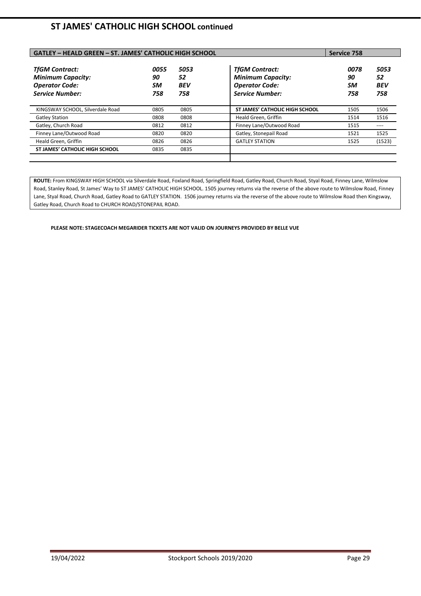## **ST JAMES' CATHOLIC HIGH SCHOOL continued**

| <b>GATLEY - HEALD GREEN - ST. JAMES' CATHOLIC HIGH SCHOOL</b>                                        | Service 758             |                                 |                                                                                                      |                         |                          |
|------------------------------------------------------------------------------------------------------|-------------------------|---------------------------------|------------------------------------------------------------------------------------------------------|-------------------------|--------------------------|
| <b>TfGM Contract:</b><br><b>Minimum Capacity:</b><br><b>Operator Code:</b><br><b>Service Number:</b> | 0055<br>90<br>SM<br>758 | 5053<br>52<br><b>BEV</b><br>758 | <b>TfGM Contract:</b><br><b>Minimum Capacity:</b><br><b>Operator Code:</b><br><b>Service Number:</b> | 0078<br>90<br>SM<br>758 | 5053<br>52<br>BEV<br>758 |
| KINGSWAY SCHOOL, Silverdale Road                                                                     | 0805                    | 0805                            | <b>ST JAMES' CATHOLIC HIGH SCHOOL</b>                                                                | 1505                    | 1506                     |
| <b>Gatley Station</b>                                                                                | 0808                    | 0808                            | Heald Green, Griffin                                                                                 | 1514                    | 1516                     |
| Gatley, Church Road                                                                                  | 0812                    | 0812                            | Finney Lane/Outwood Road                                                                             | 1515                    | ----                     |
| Finney Lane/Outwood Road                                                                             | 0820                    | 0820                            | Gatley, Stonepail Road                                                                               | 1521                    | 1525                     |
| Heald Green, Griffin                                                                                 | 0826                    | 0826                            | <b>GATLEY STATION</b>                                                                                | 1525                    | (1523)                   |
| <b>ST JAMES' CATHOLIC HIGH SCHOOL</b>                                                                | 0835                    | 0835                            |                                                                                                      |                         |                          |

**ROUTE:** From KINGSWAY HIGH SCHOOL via Silverdale Road, Foxland Road, Springfield Road, Gatley Road, Church Road, Styal Road, Finney Lane, Wilmslow Road, Stanley Road, St James' Way to ST JAMES' CATHOLIC HIGH SCHOOL. 1505 journey returns via the reverse of the above route to Wilmslow Road, Finney Lane, Styal Road, Church Road, Gatley Road to GATLEY STATION. 1506 journey returns via the reverse of the above route to Wilmslow Road then Kingsway, Gatley Road, Church Road to CHURCH ROAD/STONEPAIL ROAD.

**PLEASE NOTE: STAGECOACH MEGARIDER TICKETS ARE NOT VALID ON JOURNEYS PROVIDED BY BELLE VUE**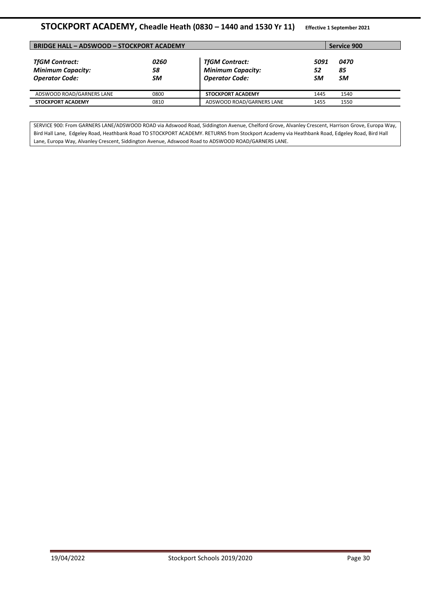## **STOCKPORT ACADEMY, Cheadle Heath (0830 – 1440 and 1530 Yr 11) Effective 1 September 2021**

| <b>BRIDGE HALL - ADSWOOD - STOCKPORT ACADEMY</b>                           |                  |                                                                            |                  | Service 900                    |  |
|----------------------------------------------------------------------------|------------------|----------------------------------------------------------------------------|------------------|--------------------------------|--|
| <b>TfGM Contract:</b><br><b>Minimum Capacity:</b><br><b>Operator Code:</b> | 0260<br>58<br>SM | <b>TfGM Contract:</b><br><b>Minimum Capacity:</b><br><b>Operator Code:</b> | 5091<br>52<br>SM | <i><b>0470</b></i><br>85<br>SM |  |
| ADSWOOD ROAD/GARNERS LANE                                                  | 0800             | <b>STOCKPORT ACADEMY</b>                                                   | 1445             | 1540                           |  |
| <b>STOCKPORT ACADEMY</b>                                                   | 0810             | ADSWOOD ROAD/GARNERS LANE                                                  | 1455             | 1550                           |  |

SERVICE 900: From GARNERS LANE/ADSWOOD ROAD via Adswood Road, Siddington Avenue, Chelford Grove, Alvanley Crescent, Harrison Grove, Europa Way, Bird Hall Lane, Edgeley Road, Heathbank Road TO STOCKPORT ACADEMY. RETURNS from Stockport Academy via Heathbank Road, Edgeley Road, Bird Hall Lane, Europa Way, Alvanley Crescent, Siddington Avenue, Adswood Road to ADSWOOD ROAD/GARNERS LANE.